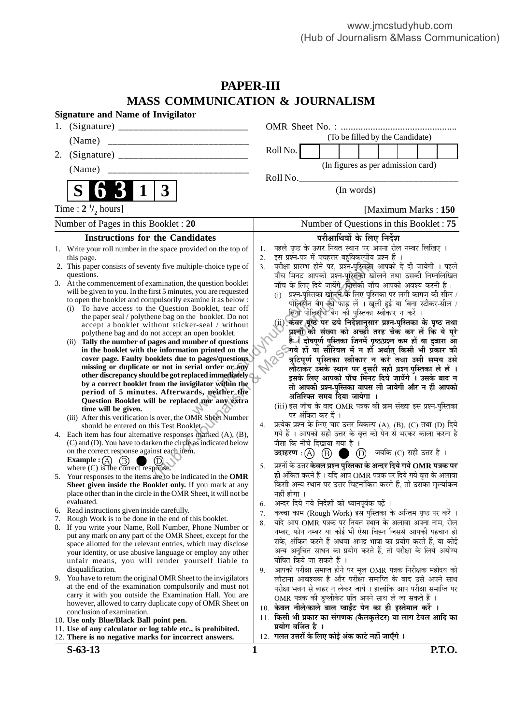# **PAPER-III MASS COMMUNICATION & JOURNALISM**

| <b>Signature and Name of Invigilator</b>                                                                                                                                                                                                                                                                                                                                                                                                                                                                                                                                                                                                                                                                                                                                                                                                                                                                                                                                                                                                                                                                                                                                 |                                                                                                                                                                                                                                                                                                                                                                                                                                                                                                                                                                                                                                                                                                                                                                                                                                                                                                                                                                                                                                                                                                                                                       |  |  |  |  |
|--------------------------------------------------------------------------------------------------------------------------------------------------------------------------------------------------------------------------------------------------------------------------------------------------------------------------------------------------------------------------------------------------------------------------------------------------------------------------------------------------------------------------------------------------------------------------------------------------------------------------------------------------------------------------------------------------------------------------------------------------------------------------------------------------------------------------------------------------------------------------------------------------------------------------------------------------------------------------------------------------------------------------------------------------------------------------------------------------------------------------------------------------------------------------|-------------------------------------------------------------------------------------------------------------------------------------------------------------------------------------------------------------------------------------------------------------------------------------------------------------------------------------------------------------------------------------------------------------------------------------------------------------------------------------------------------------------------------------------------------------------------------------------------------------------------------------------------------------------------------------------------------------------------------------------------------------------------------------------------------------------------------------------------------------------------------------------------------------------------------------------------------------------------------------------------------------------------------------------------------------------------------------------------------------------------------------------------------|--|--|--|--|
| 1.                                                                                                                                                                                                                                                                                                                                                                                                                                                                                                                                                                                                                                                                                                                                                                                                                                                                                                                                                                                                                                                                                                                                                                       |                                                                                                                                                                                                                                                                                                                                                                                                                                                                                                                                                                                                                                                                                                                                                                                                                                                                                                                                                                                                                                                                                                                                                       |  |  |  |  |
| (Name)<br>__________________________________                                                                                                                                                                                                                                                                                                                                                                                                                                                                                                                                                                                                                                                                                                                                                                                                                                                                                                                                                                                                                                                                                                                             | (To be filled by the Candidate)                                                                                                                                                                                                                                                                                                                                                                                                                                                                                                                                                                                                                                                                                                                                                                                                                                                                                                                                                                                                                                                                                                                       |  |  |  |  |
| 2.                                                                                                                                                                                                                                                                                                                                                                                                                                                                                                                                                                                                                                                                                                                                                                                                                                                                                                                                                                                                                                                                                                                                                                       | Roll No.                                                                                                                                                                                                                                                                                                                                                                                                                                                                                                                                                                                                                                                                                                                                                                                                                                                                                                                                                                                                                                                                                                                                              |  |  |  |  |
| (Name)                                                                                                                                                                                                                                                                                                                                                                                                                                                                                                                                                                                                                                                                                                                                                                                                                                                                                                                                                                                                                                                                                                                                                                   | (In figures as per admission card)                                                                                                                                                                                                                                                                                                                                                                                                                                                                                                                                                                                                                                                                                                                                                                                                                                                                                                                                                                                                                                                                                                                    |  |  |  |  |
|                                                                                                                                                                                                                                                                                                                                                                                                                                                                                                                                                                                                                                                                                                                                                                                                                                                                                                                                                                                                                                                                                                                                                                          | Roll No.                                                                                                                                                                                                                                                                                                                                                                                                                                                                                                                                                                                                                                                                                                                                                                                                                                                                                                                                                                                                                                                                                                                                              |  |  |  |  |
| $\bf S$<br>$\mathbf 1$<br>$\mathbf{3}$                                                                                                                                                                                                                                                                                                                                                                                                                                                                                                                                                                                                                                                                                                                                                                                                                                                                                                                                                                                                                                                                                                                                   | (In words)                                                                                                                                                                                                                                                                                                                                                                                                                                                                                                                                                                                                                                                                                                                                                                                                                                                                                                                                                                                                                                                                                                                                            |  |  |  |  |
| Time : $2 \frac{1}{2}$ hours]                                                                                                                                                                                                                                                                                                                                                                                                                                                                                                                                                                                                                                                                                                                                                                                                                                                                                                                                                                                                                                                                                                                                            | [Maximum Marks: 150]                                                                                                                                                                                                                                                                                                                                                                                                                                                                                                                                                                                                                                                                                                                                                                                                                                                                                                                                                                                                                                                                                                                                  |  |  |  |  |
| Number of Pages in this Booklet : 20                                                                                                                                                                                                                                                                                                                                                                                                                                                                                                                                                                                                                                                                                                                                                                                                                                                                                                                                                                                                                                                                                                                                     | Number of Questions in this Booklet: 75                                                                                                                                                                                                                                                                                                                                                                                                                                                                                                                                                                                                                                                                                                                                                                                                                                                                                                                                                                                                                                                                                                               |  |  |  |  |
| <b>Instructions for the Candidates</b>                                                                                                                                                                                                                                                                                                                                                                                                                                                                                                                                                                                                                                                                                                                                                                                                                                                                                                                                                                                                                                                                                                                                   | परीक्षार्थियों के लिए निर्देश                                                                                                                                                                                                                                                                                                                                                                                                                                                                                                                                                                                                                                                                                                                                                                                                                                                                                                                                                                                                                                                                                                                         |  |  |  |  |
| 1. Write your roll number in the space provided on the top of<br>this page.<br>2. This paper consists of seventy five multiple-choice type of<br>questions.<br>3. At the commencement of examination, the question booklet<br>will be given to you. In the first 5 minutes, you are requested<br>to open the booklet and compulsorily examine it as below :<br>To have access to the Question Booklet, tear off<br>(i)<br>the paper seal / polythene bag on the booklet. Do not<br>accept a booklet without sticker-seal / without<br>polythene bag and do not accept an open booklet.<br>(ii) Tally the number of pages and number of questions<br>in the booklet with the information printed on the<br>cover page. Faulty booklets due to pages/questions.<br>missing or duplicate or not in serial order or any<br>other discrepancy should be got replaced immediately (<br>by a correct booklet from the invigilator within the<br>period of 5 minutes. Afterwards, neither the<br>Question Booklet will be replaced nor any extra<br>time will be given.<br>(iii) After this verification is over, the OMR Sheet Number<br>should be entered on this Test Booklet | पहले पृष्ठ के ऊपर नियत स्थान पर अपना रोल नम्बर लिखिए ।<br>1.<br>इस प्रश्न-पत्र में पचहत्तर बहुविकल्पीय प्रश्न हैं ।<br>2.<br>परीक्षा प्रारम्भ होने पर, प्रश्न-पुस्तिका आपको दे दी जायेगी । पहले<br>3.<br>पाँच मिनट आपको प्रश्न-पुस्तिको खोलने तथा उसकी निम्नलिखित<br>जाँच के लिए दिये जायेंगे, जिसकी जाँच आपको अवश्य करनी है :<br>प्रश्न-पुस्तिका खोलने के लिए पुस्तिका पर लगी कागज की सील /<br>(i)<br>पोलिशीन बैग को फाड़ लें । खुली हुई या बिना स्टीकर-सील /<br>बिना पोलिथीन बेग की पुस्तिका स्वीकार न करें ।<br>(ii) केवर पूछ पर छपे निर्देशानुसार प्रश्न-पुस्तिका के पृष्ठ तथा<br>प्रश्नों की संख्या को अच्छी तरह चैक कर लें कि ये पूरे<br>्द्रियाये हों या सीरियल में न हों अर्थात् किसी भी प्रकार की<br>ि त्रुटिपूर्ण पस्तिका स्वीकार न सों अर्थात् किसी भी प्रकार की<br>लौटाकर उसके स्थान पर दूसरी सही प्रश्न-पुस्तिका ले लें ।<br>इसके लिए आपको पाँच मिनट दिये जायेंगे । उसके बाद न<br>तो आपकी प्रश्न-पुस्तिका वापस ली जायेगी और न ही आपको<br>अतिरिक्त समय दिया जायेगा ।<br>(iii) इस जाँच के बाद OMR पत्रक की क्रम संख्या इस प्रश्न-पुस्तिका<br>पर अंकित कर दें ।<br>प्रत्येक प्रश्न के लिए चार उत्तर विकल्प (A), (B), (C) तथा (D) दिये<br>4. |  |  |  |  |
| 4. Each item has four alternative responses marked (A), (B),<br>(C) and (D). You have to darken the circle as indicated below<br>on the correct response against each item.<br>Example : $(A)$<br>(B)                                                                                                                                                                                                                                                                                                                                                                                                                                                                                                                                                                                                                                                                                                                                                                                                                                                                                                                                                                    | गये हैं । आपको सही उत्तर के वृत्त को पेन से भरकर काला करना है<br>जैसा कि नीचे दिखाया गया है ।<br>$\bigcirc$ $\bigcirc$ जबकि (C) सही उत्तर है ।<br>उदाहरण $\,$ : (A) $\,$ (B) $\,$ (                                                                                                                                                                                                                                                                                                                                                                                                                                                                                                                                                                                                                                                                                                                                                                                                                                                                                                                                                                   |  |  |  |  |
| where $(C)$ is the correct response.<br>5. Your responses to the items are to be indicated in the OMR<br>Sheet given inside the Booklet only. If you mark at any<br>place other than in the circle in the OMR Sheet, it will not be<br>evaluated.                                                                                                                                                                                                                                                                                                                                                                                                                                                                                                                                                                                                                                                                                                                                                                                                                                                                                                                        | प्रश्नों के उत्तर <b>केवल प्रश्न पुस्तिका के अन्दर दिये गये OMR पत्रक पर</b><br>5.<br>ही अंकित करने हैं । यदि आप OMR पत्रक पर दिये गये वृत्त के अलावा<br>किसी अन्य स्थान पर उत्तर चिह्नांकित करते हैं, तो उसका मूल्यांकन<br>नहीं होगा ।                                                                                                                                                                                                                                                                                                                                                                                                                                                                                                                                                                                                                                                                                                                                                                                                                                                                                                               |  |  |  |  |
| Read instructions given inside carefully.<br>6.                                                                                                                                                                                                                                                                                                                                                                                                                                                                                                                                                                                                                                                                                                                                                                                                                                                                                                                                                                                                                                                                                                                          | अन्दर दिये गये निर्देशों को ध्यानपूर्वक पढ़ें ।<br>6.<br>कच्चा काम (Rough Work) इस पुस्तिका के अन्तिम पृष्ठ पर करें ।<br>7.                                                                                                                                                                                                                                                                                                                                                                                                                                                                                                                                                                                                                                                                                                                                                                                                                                                                                                                                                                                                                           |  |  |  |  |
| Rough Work is to be done in the end of this booklet.<br>7.                                                                                                                                                                                                                                                                                                                                                                                                                                                                                                                                                                                                                                                                                                                                                                                                                                                                                                                                                                                                                                                                                                               | यदि आप OMR पत्रक पर नियत स्थान के अलावा अपना नाम, रोल<br>8.                                                                                                                                                                                                                                                                                                                                                                                                                                                                                                                                                                                                                                                                                                                                                                                                                                                                                                                                                                                                                                                                                           |  |  |  |  |
| 8. If you write your Name, Roll Number, Phone Number or<br>put any mark on any part of the OMR Sheet, except for the<br>space allotted for the relevant entries, which may disclose<br>your identity, or use abusive language or employ any other<br>unfair means, you will render yourself liable to<br>disqualification.                                                                                                                                                                                                                                                                                                                                                                                                                                                                                                                                                                                                                                                                                                                                                                                                                                               | नम्बर, फोन नम्बर या कोई भी ऐसा चिह्न जिससे आपकी पहचान हो<br>सके, अंकित करते हैं अथवा अभद्र भाषा का प्रयोग करते हैं, या कोई<br>अन्य अनुचित साधन का प्रयोग करते हैं, तो परीक्षा के लिये अयोग्य<br>घोषित किये जा सकते हैं ।<br>आपको परीक्षा समाप्त होने पर मूल OMR पत्रक निरीक्षक महोदय को<br>9.                                                                                                                                                                                                                                                                                                                                                                                                                                                                                                                                                                                                                                                                                                                                                                                                                                                         |  |  |  |  |
| 9. You have to return the original OMR Sheet to the invigilators<br>at the end of the examination compulsorily and must not<br>carry it with you outside the Examination Hall. You are<br>however, allowed to carry duplicate copy of OMR Sheet on                                                                                                                                                                                                                                                                                                                                                                                                                                                                                                                                                                                                                                                                                                                                                                                                                                                                                                                       | लौटाना आवश्यक है और परीक्षा समाप्ति के बाद उसे अपने साथ<br>परीक्षा भवन से बाहर न लेकर जायें । हालांकि आप परीक्षा समाप्ति पर<br>OMR पत्रक की डुप्लीकेट प्रति अपने साथ ले जा सकते हैं ।<br>10. केवल नीले/काले बाल प्वाईंट पेन का ही इस्तेमाल करें ।                                                                                                                                                                                                                                                                                                                                                                                                                                                                                                                                                                                                                                                                                                                                                                                                                                                                                                     |  |  |  |  |
| conclusion of examination.<br>10. Use only Blue/Black Ball point pen.                                                                                                                                                                                                                                                                                                                                                                                                                                                                                                                                                                                                                                                                                                                                                                                                                                                                                                                                                                                                                                                                                                    | 11. किसी भी प्रकार का संगणक (कैलकुलेटर) या लाग टेबल आदि का                                                                                                                                                                                                                                                                                                                                                                                                                                                                                                                                                                                                                                                                                                                                                                                                                                                                                                                                                                                                                                                                                            |  |  |  |  |
| 11. Use of any calculator or log table etc., is prohibited.<br>12. There is no negative marks for incorrect answers.                                                                                                                                                                                                                                                                                                                                                                                                                                                                                                                                                                                                                                                                                                                                                                                                                                                                                                                                                                                                                                                     | प्रयोग वर्जित है ।<br>12. गलत उत्तरों के लिए कोई अंक काटे नहीं जाएँगे ।                                                                                                                                                                                                                                                                                                                                                                                                                                                                                                                                                                                                                                                                                                                                                                                                                                                                                                                                                                                                                                                                               |  |  |  |  |
| $S-63-13$                                                                                                                                                                                                                                                                                                                                                                                                                                                                                                                                                                                                                                                                                                                                                                                                                                                                                                                                                                                                                                                                                                                                                                | <b>P.T.O.</b><br>1                                                                                                                                                                                                                                                                                                                                                                                                                                                                                                                                                                                                                                                                                                                                                                                                                                                                                                                                                                                                                                                                                                                                    |  |  |  |  |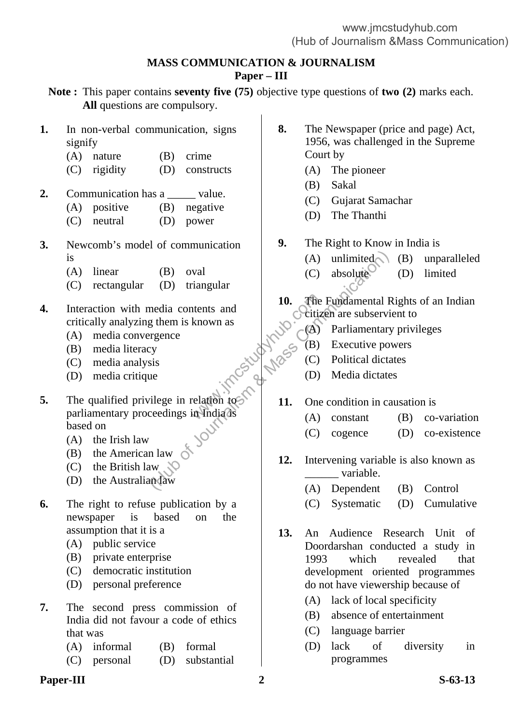## **MASS COMMUNICATION & JOURNALISM Paper – III**

- **Note :** This paper contains **seventy five (75)** objective type questions of **two (2)** marks each. **All** questions are compulsory.
- **1.** In non-verbal communication, signs signify
	- (A) nature (B) crime
	- (C) rigidity (D) constructs
- **2.** Communication has a \_\_\_\_\_\_ value.
	- (A) positive (B) negative
		- (C) neutral (D) power
- **3.** Newcomb's model of communication is
	- (A) linear (B) oval
	- (C) rectangular (D) triangular
- **4.** Interaction with media contents and critically analyzing them is known as
	- (A) media convergence
	- (B) media literacy
	- (C) media analysis
	- (D) media critique
- **5.** The qualified privilege in relation to parliamentary proceedings in India is based on tents and<br>
known as<br>
(A)<br>
www.gove.com<br>
(C)<br>
elation to (B)<br>
(C)<br>
elation to (B)<br>
11. One<br>
(A) (B) oval<br>
(D) triangular<br>
media contents and<br>
g them is known as<br>
regence<br>
ey<br>
sis<br>
wie (C) absolute<br>
(C) absolute<br>
(C) absolute<br>
(C) absolute<br>
(C) absolute<br>
citizen are subserving<br>
regence<br>
(B) Executive po<br>
Parliamentar
	- (A) the Irish law
	- (B) the American law
	- (C) the British law
	- (D) the Australian law
- **6.** The right to refuse publication by a newspaper is based on the assumption that it is a
	- (A) public service
	- (B) private enterprise
	- (C) democratic institution
	- (D) personal preference
- **7.** The second press commission of India did not favour a code of ethics that was
	- (A) informal (B) formal
	- (C) personal (D) substantial
- **Paper-III** S-63-13
- **8.** The Newspaper (price and page) Act, 1956, was challenged in the Supreme Court by
	- (A) The pioneer
	- (B) Sakal
	- (C) Gujarat Samachar
	- (D) The Thanthi
- **9.** The Right to Know in India is
	- $(A)$  unlimited  $(B)$  unparalleled
	- $(C)$  absolute  $(D)$  limited
- **10.** The Fundamental Rights of an Indian cycitizen are subservient to
	- (A) Parliamentary privileges
	- (B) Executive powers
	- (C) Political dictates
	- (D) Media dictates
- **11.** One condition in causation is
	- (A) constant (B) co-variation
	- (C) cogence (D) co-existence
- **12.** Intervening variable is also known as variable.
	- (A) Dependent (B) Control
	- (C) Systematic (D) Cumulative
- **13.** An Audience Research Unit of Doordarshan conducted a study in 1993 which revealed that development oriented programmes do not have viewership because of
	- (A) lack of local specificity
	- (B) absence of entertainment
	- (C) language barrier
	- (D) lack of diversity in programmes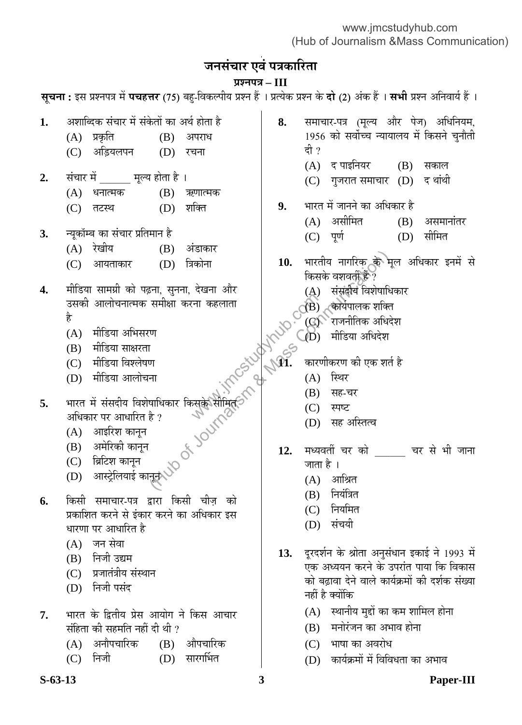# जनसंचार एवं पत्रकारिता

# **¯ÖÏ¿®Ö¯Ö¡Ö – III**

**सूचना :** इस प्रश्नपत्र में **पचहत्तर** (75) बहु-विकल्पीय प्रश्न हैं । प्रत्येक प्रश्न के **दो** (2) अंक हैं । **सभी** प्रश्न अनिवार्य हैं ।

- 1. अशाब्दिक संचार में संकेतों का अर्थ होता है
	- (A) प्रकृति (B) अपराध
		- (C) अडियलपन (D) रचना
- 2. संचार में मूल्य होता है ।
	- $(A)$  धनात्मक  $(B)$  ऋणात्मक
	- (C) तटस्थ (D) शक्ति
- **3.** ®µÖæÛúÖò´²Ö ÛúÖ ÃÖÓ"ÖÖ¸ü ¯ÖÏןִÖÖ®Ö Æîü
	- (A) रेखीय (B) अंडाकार
	- (C) आयताकार (D) त्रिकोना
- 4. मीडिया सामग्री को पढ़ना, सुनना, देखना और उसकी आलोचनात्मक समीक्षा करना कहलाता है where  $\frac{1}{\sqrt{2}}$  where  $\frac{1}{\sqrt{2}}$  and  $\frac{1}{\sqrt{2}}$  and  $\frac{1}{\sqrt{2}}$  and  $\frac{1}{\sqrt{2}}$  and  $\frac{1}{\sqrt{2}}$  and  $\frac{1}{\sqrt{2}}$  and  $\frac{1}{\sqrt{2}}$  and  $\frac{1}{\sqrt{2}}$  and  $\frac{1}{\sqrt{2}}$  and  $\frac{1}{\sqrt{2}}$  and  $\frac{1}{\sqrt{2}}$  and  $\frac{1}{\sqrt{$ (D) त्रिकोना<br>
(D) त्रिकोना<br>
हना, सुनना, देखना और (A) संसदीय विशेषाहि?<br>
समीक्षा करना कहलाता<br>
पा<br>
पा<br>
पा<br>
पा (A) सीडिया अधिदेश<br>
(M) मीडिया अधिदेश<br>
(M) मीडिया अधिदेश<br>
(M) मीडिया अधिदेश<br>
(A) सह-चर<br>
(D) सह अस्तित्व<br>
है?<br>
(D) स
	- $(A)$  मीडिया अभिसरण
	- (B) मीडिया साक्षरता
	- (C) मीडिया विश्लेषण
	- (D) मीडिया आलोचना
- **5.** भारत में संसदीय विशेषाधिकार किसके सीमित<br>अधिकार पर आधारित है ?<br>(A) आइरिश कानून<br>(B) अमेरिको न अधिकार पर आधारित है ?
	- $(A)$  आइरिश कानुन
	- (B) अमेरिकी कानुन
	- $(C)$  ब्रिटिश कानून
	- $(D)$  आस्ट्रेलियाई कानून $\lozenge$ े
- **6.** किसी समाचार-पत्र द्वारा किसी चीज़ को प्रकाशित करने से इंकार करने का अधिकार इस धारणा पर आधारित है
	- (A) जन सेवा
	- (B) निजी उद्यम
	- (C) प्रजातंत्रीय संस्थान
	- (D) निजी पसंद
- 7. भारत के द्वितीय प्रेस आयोग ने किस आचार संहिता की सहमति नहीं दी थी ?
	- (A) अनौपचारिक (B) औपचारिक
	- (C) निजी (D) सारगर्भित
- 8. समाचार-पत्र (मूल्य और पेज) अधिनियम, 1956 को सर्वोच्च न्यायालय में किसने चुनौती दी ?
	- (A) द पाइनियर (B) सकाल
	- (C) गुजरात समाचार (D) द थांथी
- **9.** भारत में जानने का अधिकार है  $(A)$  असीमित  $(B)$  असमानांतर
	- (C) पूर्ण (D) सीमित
- 10. भारतीय नागरिक के मूल अधिकार इनमें से किसके वशवर्ती हैं ?
	- $(A)$  संसद्दीय विशेषाधिकार
	- $\mathrm{O}^{(\mathrm{B})}$ ्कोर्यपालक शक्ति
		- $(Q)$ ेराजनीतिक अधिदेश
	- $\bigcirc$ D) मीडिया अधिदेश
- कारणीकरण की एक शर्त है
	- $(A)$  स्थिर
- (B) सह-चर
	- $(C)$  स्पष्ट
	- (D) सह अस्तित्व
- 12. मध्यवर्ती चर को <sup>चर से</sup> भी जाना जाता है ।
	- $(A)$  आश्रित
	- $(B)$  नियंत्रित
	- (C) नियमित
	- (D) संचयी
- 13. दूरदर्शन के श्रोता अनुसंधान इकाई ने 1993 में ...<br>एक अध्ययन करने के उपरांत पाया कि विकास को बढ़ावा देने वाले कार्यक्रमों की दर्शक संख्या नहीं है क्योंकि
	- $(A)$  स्थानीय मुद्दों का कम शामिल होना
	- (B) मनोरंजन का अभाव होना
	- (C) भाषा का अवरोध
	- (D) कार्यक्रमों में विविधता का अभाव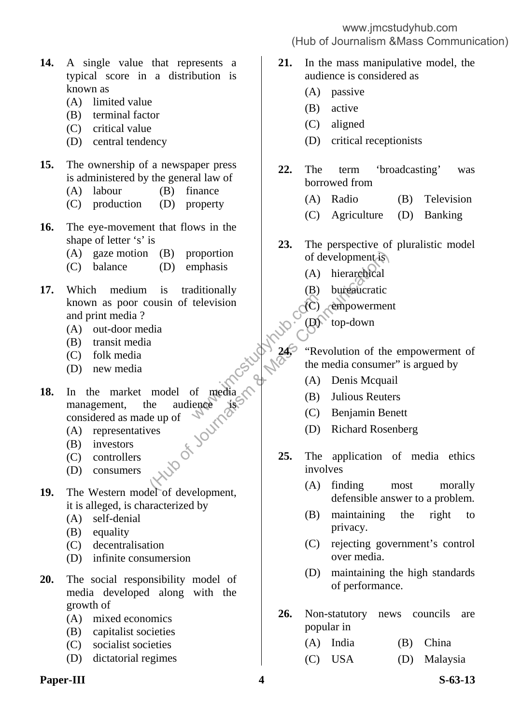- **14.** A single value that represents a typical score in a distribution is known as
	- (A) limited value
	- (B) terminal factor
	- (C) critical value
	- (D) central tendency

### **15.** The ownership of a newspaper press is administered by the general law of

- (A) labour (B) finance
- (C) production (D) property
- **16.** The eye-movement that flows in the shape of letter 's' is
	- (A) gaze motion (B) proportion
	- (C) balance (D) emphasis
- **17.** Which medium is traditionally known as poor cousin of television and print media ?
	- (A) out-door media
	- (B) transit media
	- (C) folk media
	- (D) new media
- **18.** In the market model of media management, the audience is considered as made up of television<br>
television<br>
television<br>
television<br>  $\sqrt{6}$ <br>  $\sqrt{245}$ <br>
"Rev<br>
the r<br>
(A)<br>
(B)<br>
(C)<br>
(C) (B) proportion of development (A) hierarchical<br>
is traditionally (B) bureaucratic<br>
ousin of television<br>
dia<br>
a<br>
a<br>
a<br>
a<br>
a<br>
a<br>
a<br>
(A) hierarchical<br>
(B) bureaucratic<br>
(B) bureaucratic<br>
(C) empowerment<br>
model of media consu
	- (A) representatives
	- (B) investors
	- (C) controllers
	- (D) consumers
- **19.** The Western model of development, it is alleged, is characterized by
	- (A) self-denial
	- (B) equality
	- (C) decentralisation
	- (D) infinite consumersion
- **20.** The social responsibility model of media developed along with the growth of
	- (A) mixed economics
	- (B) capitalist societies
	- (C) socialist societies
	- (D) dictatorial regimes

### **Paper-III** S-63-13

## www.jmcstudyhub.com (Hub of Journalism &Mass Communication)

- **21.** In the mass manipulative model, the audience is considered as
	- (A) passive
	- (B) active
	- (C) aligned
	- (D) critical receptionists
- **22.** The term 'broadcasting' was borrowed from
	- (A) Radio (B) Television
	- (C) Agriculture (D) Banking
- **23.** The perspective of pluralistic model of development is
	- (A) hierarchical
	- (B) bureaucratic
	- (C) empowerment
	- (D) top-down
	- **24.** "Revolution of the empowerment of the media consumer" is argued by
		- (A) Denis Mcquail
		- (B) Julious Reuters
		- (C) Benjamin Benett
		- (D) Richard Rosenberg
- **25.** The application of media ethics involves
	- (A) finding most morally defensible answer to a problem.
	- (B) maintaining the right to privacy.
	- (C) rejecting government's control over media.
	- (D) maintaining the high standards of performance.
- **26.** Non-statutory news councils are popular in
	- (A) India (B) China
	- (C) USA (D) Malaysia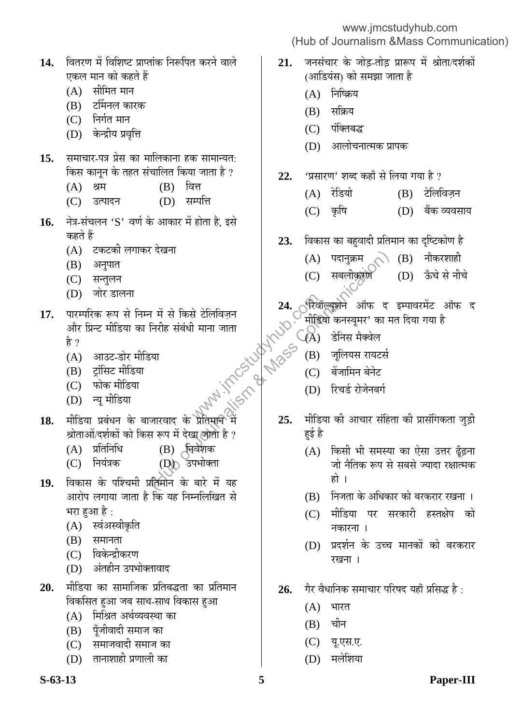| 14. वितरण में विशिष्ट प्राप्तांक निरूपित करने वाले |
|----------------------------------------------------|
| एकल मान को कहते हैं                                |

- $(A)$  सीमित मान
- (B) टर्मिनल कारक
- $(C)$  निर्गत मान
- (D) केन्द्रीय प्रवृत्ति
- 15. समाचार-पत्र प्रेस का मालिकाना हक सामान्यत: किस कानून के तहत संचालित किया जाता है ?
	- (A) श्रम (B) वित्त
	- (C) उत्पादन (D) सम्पत्ति
- **16.** नेत्र-संचलन 'S' वर्ण के आकार में होता है, इसे कहते हैं
	- (A) टकटकी लगाकर देखना
	- (B) अनुपात
	- (C) सन्तुलन
	- (D) जोर डालना
- 17. पारम्परिक रूप से निम्न में से किसे टेलिविज़न ओर प्रिन्ट मीडिया का निरीह संबंधी माना जाता हे ? Example 24. Academy<br>
Formation of the C(A)<br>
Example 25 The C(A)<br>
There is the C(C)<br>
There is the C(D)<br>
There is the C(D) ( दखना<br>
न में से किसे टेलिविज़न (C) सबलीकसंग्राण<br>
निरीह संबंधी माना जाता<br>
स्वाद के प्रतिप्राप्त में (C) ही को कास्यूमर' का म्<br>
अपनार के प्रतिप्राप्त में (C) ही को कास्यूमर' का म्<br>
अपनार के प्रतिप्राप्त में (C) देनास मैक्
	- (A) आउट-डोर मीडिया
	- (B) ट्रांसिट मीडिया
	- (C) फोक मीडिया
	- (D) न्यू मीडिया
- **18.** मीडिया प्रबंधन के बाजारवाद के प्रतिमान में श्रोताओं/दर्शकों को किस रूप में देखा जाता है ?
	- (A) प्रतिनिधि (B) चिवेशक
	- (C) नियंत्रक (D) उपभोक्ता
- 19. विकास के पश्चिमी प्रतिमान के बारे में यह आरोप लगाया जाता है कि यह निम्नलिखित से भरा हुआ है :
	- (A) स्वंअस्वीकृति
	- $(B)$  समानता
	- (C) विकेन्द्रीकरण
	- (D) अंतहीन उपभोक्तावाद
- 20. मीडिया का सामाजिक प्रतिबद्धता का प्रतिमान विकसित हुआ जब साथ-साथ विकास हुआ
	- $(A)$  मिश्रित अर्थव्यवस्था का
	- (B) पँजीवादी समाज का
	- (C) समाजवादी समाज का
	- $(D)$  तानाशाही प्रणाली का

- 21. जनसंचार के जोड़-तोड़ प्रारूप में श्रोता/दर्शकों (आडियंस) को समझा जाता है
	- $(A)$  निष्क्रिय
	- $(B)$  सक्रिय
	- (C) पंक्तिबद्ध
	- (D) । आलोचनात्मक प्रापक
- 22. 'प्रसारण' शब्द कहाँ से लिया गया है ?
	- (A) रेडियो (B) टेलिविजन
	- (C) Ûéú×ÂÖ (D) ²ÖïÛú ¾µÖ¾ÖÃÖÖµÖ
- **23.** विकास का बहवादी प्रतिमान का दृष्टिकोण है
	- $(A)$  पदानुक्रम  $\bigcirc$ े  $(B)$  नौकरशाही
	- (C) सबलीकरण (D) ऊँचे से नीचे
- 24. **ी**रिवॉल्यूशन ऑफ द इम्पावरमेंट ऑफ द मीडियो कनस्युमर' का मत दिया गया है
	- $(A)$  डेनिस मैक्वेल
	- (B) जूलियस रायटर्स
	- (C) बेंजामिन बेनेट
	- (D) रिचर्ड रोजेनबर्ग
- <u>मीडिया की आचार संहिता की प्रासंगिकता जुड़ी</u> हई है
	- (A) किसी भी समस्या का ऐसा उत्तर ढूँढ़ना <u>जो नैतिक रूप से सबसे ज्यादा रक्षात्मक</u> हो ।
	- (B) निजता के अधिकार को बरकरार रखना ।
	- (C) मीडिया पर सरकारी हस्तक्षेप को नकारना ।
	- (D) प्रदर्शन के उच्च मानकों को बरकरार रखना ।
- 26. गैर वैधानिक समाचार परिषद यहाँ प्रसिद्ध है<sub>ं</sub>
	- $(A)$  भारत
	- $(B)$  चीन
	- (C) यू.एस.ए.
	- (D) मलेशिया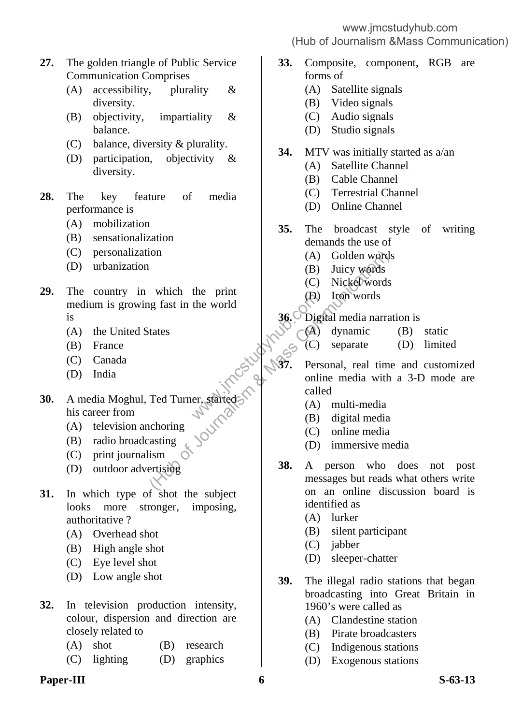www.jmcstudyhub.com

### (Hub of Journalism &Mass Communication)

- **27.** The golden triangle of Public Service Communication Comprises
	- (A) accessibility, plurality & diversity.
	- (B) objectivity, impartiality & balance.
	- (C) balance, diversity & plurality.
	- (D) participation, objectivity & diversity.
- **28.** The key feature of media performance is
	- (A) mobilization
	- (B) sensationalization
	- (C) personalization
	- (D) urbanization
- **29.** The country in which the print medium is growing fast in the world is
	- (A) the United States
- (B) France
- (C) Canada
- (D) India
- **30.** A media Moghul, Ted Turner, started his career from
- (A) television anchoring
- (B) radio broadcasting
	- (C) print journalism
	- (D) outdoor advertising
- **31.** In which type of shot the subject looks more stronger, imposing, authoritative ?
	- (A) Overhead shot
	- (B) High angle shot
	- (C) Eye level shot
	- (D) Low angle shot
- **32.** In television production intensity, colour, dispersion and direction are closely related to
	- (A) shot (B) research
	- (C) lighting (D) graphics

# **Paper-III** S-63-13

- **33.** Composite, component, RGB are forms of
	- (A) Satellite signals
	- (B) Video signals
	- (C) Audio signals
	- (D) Studio signals
- **34.** MTV was initially started as a/an
	- (A) Satellite Channel
	- (B) Cable Channel
	- (C) Terrestrial Channel
	- (D) Online Channel
- **35.** The broadcast style of writing demands the use of
	- (A) Golden words
	- (B) Juicy words
	- (C) Nickel words
	- (D) Iron words
- **36.** Digital media narration is
	- (A) dynamic (B) static
	- - (C) separate (D) limited
- **37.** Personal, real time and customized online media with a 3-D mode are called the world<br>
the world<br>  $(4)$ <br>  $(5)$ <br>  $(6)$ <br>  $(7)$ <br>  $(8)$ <br>  $(9)$ <br>  $(1)$ <br>  $(1)$ <br>  $(2)$ <br>  $(3)$ <br>  $(3)$ <br>  $(5)$ <br>  $(6)$ <br>  $(7)$ <br>  $(8)$ <br>  $(8)$ (A) Golden word<br>
(B) Juicy words<br>
(B) Juicy words<br>
(C) Nickel words<br>
(B) Iron words<br>
(D) Iron words<br>
(D) Iron words<br>
(C) Nickel words<br>
(A) dynamic<br>
(C) separate<br>
(C) separate<br>
(C) separate<br>
(C) separate<br>
(C) separate<br>
(C)
	- (A) multi-media
	- (B) digital media
	- (C) online media
	- (D) immersive media
	- **38.** A person who does not post messages but reads what others write on an online discussion board is identified as
		- (A) lurker
		- (B) silent participant
		- (C) jabber
		- (D) sleeper-chatter
	- **39.** The illegal radio stations that began broadcasting into Great Britain in 1960's were called as
		- (A) Clandestine station
		- (B) Pirate broadcasters
		- (C) Indigenous stations
		- (D) Exogenous stations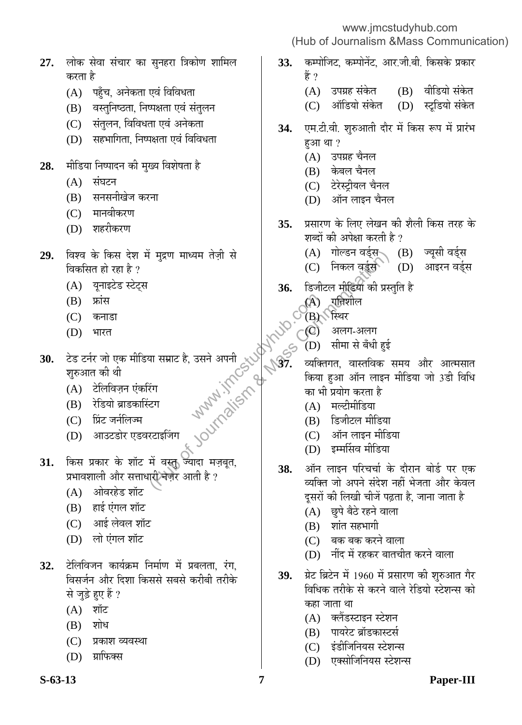www.jmcstudyhub.com

(Hub of Journalism &Mass Communication)

- 27. लोक सेवा संचार का सुनहरा त्रिकोण शामिल करता है
	- (A) पहुँच, अनेकता एवं विविधता
	- (B) वस्तुनिष्ठता, निष्पक्षता एवं संतुलन
	- (C) संतुलन, विविधता एवं अनेकता
	- $(D)$  सहभागिता, निष्पक्षता एवं विविधता
- 28. मीडिया निष्पादन की मुख्य विशेषता है
	- $(A)$  संघटन
	- (B) सनसनीखेज करना
	- (C) मानवीकरण
	- (D) शहरीकरण
- 29. विश्व के किस देश में मुद्रण माध्यम तेज़ी से विकसित हो रहा है ?
	- (A) यूनाइटेड स्टेट्स
	- $(B)$  फ्रांस
	- (C) कनाडा
	- $(D)$  भारत
- 30. टेड टर्नर जो एक मीडिया सम्राट है, उसने अपनी शुरुआत की थी
	- (A) टेलिविज़न एंकरिंग
	- (B) रेडियो ब्राडकास्टिंग
	- (C) प्रिंट जर्नलिज्म
	- (D) आउटडोर एडवरटाइजिंग
- 31. किस प्रकार के शॉट में वस्तु ज्यादा मज़बूत, प्रभावशाली और सत्ताधारी नज़र आती है ?
	- $(A)$  ओवरहेड शॉट
	- $(B)$  हाई एंगल शॉट
	- (C) आई लेवल शॉट
	- (D) लो एंगल शॉट
- 32. टेलिविजन कार्यक्रम निर्माण में प्रबलता, रंग, विसर्जन और दिशा किससे सबसे करीबी तरीके से जुड़े हुए हैं ?
	- $(A)$  शॉट
	- $(B)$  शोध
	- (C) प्रकाश व्यवस्था
	- (D) ग्राफिक्स
- **S-63-13 7 Paper-III**
- **33.** कम्पोजिट, कम्पोनेंट, आर.जी.बी. किसके प्रकार हैं ?
	- $(A)$  उपग्रह संकेत  $(B)$  वीडियो संकेत
	- (C) ऑडियो संकेत (D) स्टूडियो संकेत
- 34. **एम.टी.वी. शुरुआती दौर में किस रूप में** प्रारंभ हआ था ?
	- (A) उपग्रह चैनल
	- (B) केबल चैनल
	- (C) टेरेस्ट्रीयल चैनल
	- $(D)$  ऑन लाइन चैनल
- **35.** ∑प्रसारण के लिए लेखन की शैली किस तरह के शब्दों की अपेक्षा करती है ?
	- (A) गोल्डन वर्ड्स (B) ज्यूसी वर्ड्स
	- (C) निकल वर्ड्स`े (D) आइरन वर्ड्स
- 36. हिजीटल मीडिया की प्रस्तुति है
	- $(A)$  प्रतिशील
	- $(B)$  स्थिर
	- (C) अलग-अलग
	- $(D)$  सीमा से बँधी हई
- व्यक्तिगत, वास्तविक समय और आत्मसात किया हुआ ऑन लाइन मीडिया जो 3डी विधि का भी प्रयोग करता है  $\begin{picture}(40,10) \put(0,0){\line(1,0){155}} \put(15,0){\line(1,0){155}} \put(15,0){\line(1,0){155}} \put(15,0){\line(1,0){155}} \put(15,0){\line(1,0){155}} \put(15,0){\line(1,0){155}} \put(15,0){\line(1,0){155}} \put(15,0){\line(1,0){155}} \put(15,0){\line(1,0){155}} \put(15,0){\line(1,0){155}} \put(15,0){\line(1,0){155}} \$ (A) गाल्डन बड्स्स्<br>(C) निकल बुईस<br>(C) निकल बुईस<br>(C) निकल बुईस<br>अपनी (A) गानिशील<br>की प्रसार<br>सम्माट है, उसने अपनी (A) पुलिशील<br>(B) स्थिर<br>(B) सिशोल<br>सम्मार है, उसने अपनी (B) सम्मासिका<br>(A) माल्डीमीडिया<br>(A) मार्स्टीमीडिया<br>(A) मार्
	- $(A)$  मल्टीमीडिया
	- (B) हिजीटल मीडिया
	- $(C)$  ऑन लाइन मीडिया
	- (D) इम्मर्सिव मीडिया
	- 38. ऑन लाइन परिचर्चा के दौरान बोर्ड पर एक व्यक्ति जो अपने संदेश नहीं भेजता और केवल दुसरों की लिखी चीजें पढ़ता है, जाना जाता है
		- (A) छुपे बैठे रहने वाला
		- $(B)$  शांत सहभागी
		- $(C)$  बक बक करने वाला
		- $(D)$  नींद में रहकर बातचीत करने वाला
	- 39. प्रेट ब्रिटेन में 1960 में प्रसारण की शुरुआत गैर <u>विधिक तरीके से करने वाले रेडियो स्टेशन्स को</u> कहा जाता था
		- (A) क्लैंडस्टाइन स्टेशन
		- (B) पायरेट ब्रॉडकास्टर्स
		- (C) इंडीजिनियस स्टेशन्स
		- (D) एक्सोजिनियस स्टेशन्स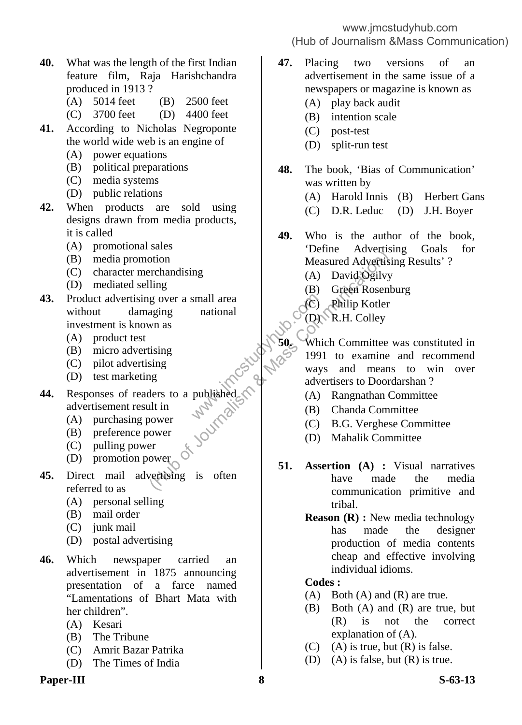- **40.** What was the length of the first Indian feature film, Raja Harishchandra produced in 1913 ?
	- (A) 5014 feet (B) 2500 feet
	- (C) 3700 feet (D) 4400 feet
- **41.** According to Nicholas Negroponte the world wide web is an engine of
	- (A) power equations
	- (B) political preparations
	- (C) media systems
	- (D) public relations
- **42.** When products are sold using designs drawn from media products, it is called
	- (A) promotional sales
	- (B) media promotion
	- (C) character merchandising
	- (D) mediated selling
- **43.** Product advertising over a small area without damaging national investment is known as small area<br>
national<br>
mational<br>
mational<br>
mational<br>
mational<br>
mational<br>
mational<br>
mational<br>
mational<br>
mational<br>
mational<br>
mational<br>
mational<br>
mational<br>
mational<br>
mational<br>
(A)<br>
d)<br>
(B)<br>
mational<br>
mational<br>
(B)<br>
(A)<br>
d)<br>
(
	- (A) product test
	- (B) micro advertising
	- (C) pilot advertising
- (D) test marketing
- **44.** Responses of readers to a published advertisement result in
- (A) purchasing power
- (B) preference power
- (C) pulling power
	- (D) promotion power
- **45.** Direct mail advertising is often referred to as
	- (A) personal selling
	- (B) mail order
	- (C) junk mail
	- (D) postal advertising
- **46.** Which newspaper carried an advertisement in 1875 announcing presentation of a farce named "Lamentations of Bhart Mata with her children".
	- (A) Kesari
	- (B) The Tribune
	- (C) Amrit Bazar Patrika
	- (D) The Times of India

### **Paper-III** 8 S-63-13

### www.jmcstudyhub.com (Hub of Journalism &Mass Communication)

- **47.** Placing two versions of an advertisement in the same issue of a newspapers or magazine is known as
	- (A) play back audit
	- (B) intention scale
	- (C) post-test
	- (D) split-run test
- **48.** The book, 'Bias of Communication' was written by
	- (A) Harold Innis (B) Herbert Gans
	- (C) D.R. Leduc (D) J.H. Boyer

**49.** Who is the author of the book, 'Define Advertising Goals for Measured Advertising Results' ?

- (A) David Ogilvy
- (B) Green Rosenburg
- (C) Philip Kotler
- (D) R.H. Colley
- **50.** Which Committee was constituted in 1991 to examine and recommend ways and means to win over advertisers to Doordarshan ? Frideral Solution<br>
Friday Solution<br>
Henne Advertism<br>
Measured Advertism<br>
Iling<br>
g over a small area<br>
aging<br>
mas<br>
tising<br>
ting<br>
mas<br>
tising<br>
mas<br>
(A) David Ogilvy<br>
(B) Green Rosen<br>
Measured Advertism<br>
(B) Green Rosen<br>
Micro
	- (A) Rangnathan Committee
	- (B) Chanda Committee
	- (C) B.G. Verghese Committee
	- (D) Mahalik Committee
	- **51. Assertion (A) :** Visual narratives have made the media communication primitive and tribal.
		- **Reason (R) :** New media technology has made the designer production of media contents cheap and effective involving individual idioms.

### **Codes :**

- (A) Both (A) and (R) are true.
- (B) Both (A) and (R) are true, but (R) is not the correct explanation of (A).
- $(C)$  (A) is true, but  $(R)$  is false.
- (D) (A) is false, but  $(R)$  is true.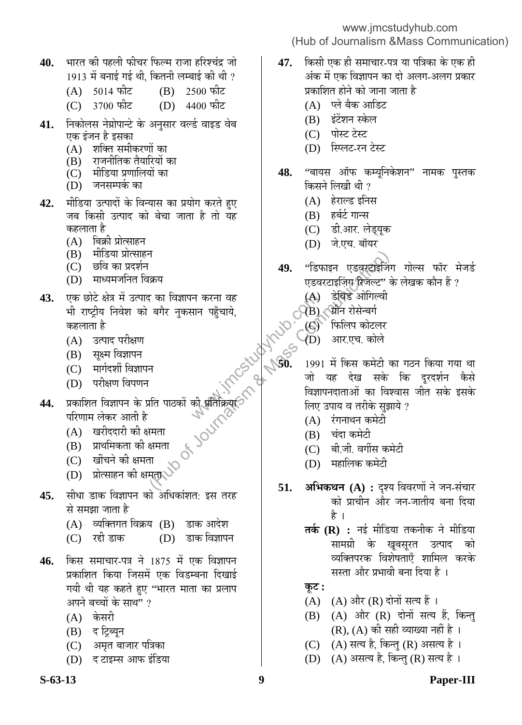- **40.** भारत की पहली फीचर फिल्म राजा हरिश्चंद्र जो
	- 1913 में बनाई गई थी, कितनी लम्बाई की थी ?<br>(A) 5014 फीट (B) 2500 फीट  $(A) 5014 \text{ m}$ द $(B)$
	- (C) 3700 फीट (D) 4400 फीट
- **41.** निकोलस नेग्रोपान्टे के अनुसार वर्ल्ड वाइड वेब एक इंजन है इसका
	- $(A)$  शक्ति समीकरणों का
	- (B) राजनीतिक तैयारियों का
	- (C) मीडिया प्रणालियों का
	- (D) जनसम्पर्क का
- 42. मीडिया उत्पादों के विन्यास का प्रयोग करते हुए जब किसी उत्पाद को बेचा जाता है तो यह कहलाता है
	- (A) बिक्री प्रोत्साहन
	- (B) मीडिया प्रोत्साहन
	- (C) छवि का प्रदर्शन
	- (D) माध्यमजनित विक्रय
- 43. **एक छोटे क्षेत्र में उत्पाद का विज्ञापन** करना वह भी राष्ट्रीय निवेश को बगैर नुकसान पहुँचाये, कहलाता है
	- (A) उत्पाद परीक्षण
	- (B) सुक्ष्म विज्ञापन
	- (C) मार्गदर्शी विज्ञापन
	- (D) परीक्षण विपणन
- 44. प्रकाशित विज्ञापन के प्रति पाठकों की प्रतिक्रिया परिणाम लेकर आती है
	- (A) खरीददारी की क्षमता
	- (B) प्राथमिकता की क्षमता
	- (C) खींचने की क्षमता
	- (D) प्रोत्साहन की क्षमता
- 45. सीधा डाक विज्ञापन को अधिकांशत: इस तरह से समझा जाता है
	- $(A)$  व्यक्तिगत विक्रय  $(B)$  डाक आदेश
	- (C) रद्दी डाक (D) डाक विज्ञापन
- 46. किस समाचार-पत्र ने 1875 में एक विज्ञापन प्रकाशित किया जिसमें एक विडम्बना दिखाई गयी थी यह कहते हए ''भारत माता का प्रलाप अपने बच्चों के साथ" ?
	- $(A)$  केसरी
	- (B) द ट्रिब्यून
	- (C) अमृत बाजार पत्रिका
	- $(D)$  द टाइम्स आफ इंडिया

- **47.** किसी एक ही समाचार-पत्र या पत्रिका के एक ही अंक में एक विज्ञापन का दो अलग-अलग प्रकार प्रकाशित होने को जाना जाता है
	- (A) प्ले बैक आडिट
	- (B) इंटेंशन स्केल
	- (C) पोस्ट टेस्ट
	- (D) स्प्लिट-रन टेस्ट
- **48.** "बायस ऑफ कम्यूनिकेशन" नामक पुस्तक किसने लिखी थी ?
	- $(A)$  हेराल्ड इनिस
	- $(B)$  हर्बर्ट गान्स
	- (C) डी.आर. लेड्युक
	- (D) जे.एच. बॉयर
- **49.** "डिफाइन एडवरटाइजिंग गोल्स फॉर मेजर्ड .<br>एडवरटाइज़िंग थिजेल्ट'' के लेखक कौन हैं ?
	- (A) डेविड ओगिल्वी
	- $\bigcirc$ े $\bigcirc$ े $\bigcirc$ े $\bigcirc$ े औन रोसेन्बर्ग
		- (C) जिलिप कोटलर
		- (D) आर.एच. कोले
- 1991 में किस कमेटी का गठन किया गया था जो यह देख सके कि दुरदर्शन कैस<mark>े</mark> विज्ञापनदाताओं का विश्वास जीत सके इसके लिए उपाय व तरीके सुझाये ? न करना वह $\begin{CD} \mathcal{P}(\mathbf{A}) \ \mathcal{P}(\mathbf{B}) \ \mathcal{P}(\mathbf{B}) \ \mathcal{P}(\mathbf{B}) \ \mathcal{P}(\mathbf{B}) \ \mathcal{P}(\mathbf{B}) \ \mathcal{P}(\mathbf{B}) \ \mathcal{P}(\mathbf{B}) \ \mathcal{P}(\mathbf{B}) \ \mathcal{P}(\mathbf{B}) \ \mathcal{P}(\mathbf{B}) \ \mathcal{P}(\mathbf{B}) \ \mathcal{P}(\mathbf{B}) \ \mathcal{P}(\mathbf{B}) \ \mathcal{P}(\mathbf{B}) \ \mathcal{P}(\mathbf{$ (A) है कि समया<br>(कम ) (A) है कि समयान करना वह (A) है बिड ओगिल्वी<br>(A) है बिड ओगिल्वी<br>(A) है बिड ओगिल्वी<br>(A) है बिड ओगिल्वी<br>(B) औन रोसेन्बर्ग<br>(B) औन रोसेन्बर्ग<br>(D) आर.एच. कोले<br>(B) बार.एच. कोले<br>(B) बार.एच. कोले<br>(B) बार.एच. क
	- $(A)$  रंगनाथन कमेटी
	- (B) चंदा कमेटी
	- (C) बी.जी. वर्गीस कमेटी
	- (D) महालिक कमेटी
	- **51. अभिकथन (A) :** दृश्य विवरणों ने जन-संचार को प्राचीन और जन-जातीय बना दिया हे ।
		- **तर्क (R) :** नई मीडिया तकनीक ने मीडिया सामग्री के खुबसुरत उत्पाद को व्यक्तिपरक विशेषताएँ शामिल करके सस्ता और प्रभावी बना दिया है ।
		- **Ûæú™ü :**
		- (A)  $(A)$  और  $(R)$  दोनों सत्य हैं।
		- (B) (A) और (R) दोनों सत्य हैं, किन्तु  $(R)$ ,  $(A)$  की सही व्याख्या नहीं है ।
		- (C) (A) सत्य है, किन्तु (R) असत्य है।
		- (D)  $(A)$  असत्य है, किन्तु (R) सत्य है।

### **S-63-13 9 Paper-III**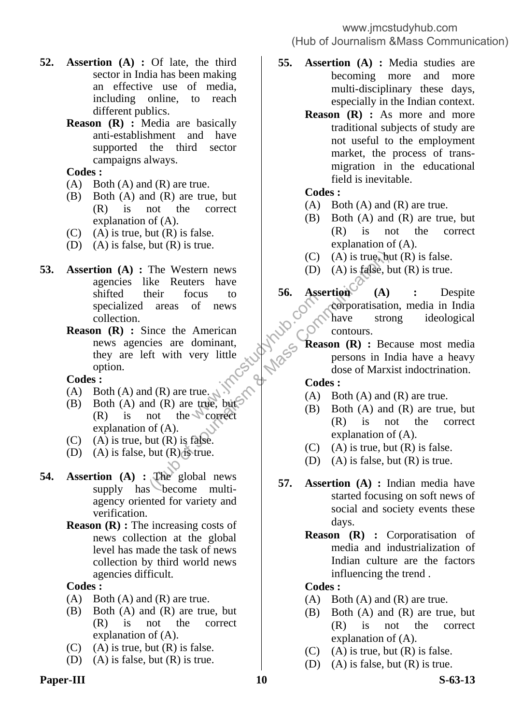- **52. Assertion (A) :** Of late, the third sector in India has been making an effective use of media, including online, to reach different publics.
	- **Reason (R) :** Media are basically anti-establishment and have supported the third sector campaigns always.

**Codes :** 

- $(A)$  Both  $(A)$  and  $(R)$  are true.
- (B) Both (A) and (R) are true, but (R) is not the correct explanation of (A).
- $(C)$  (A) is true, but  $(R)$  is false.
- (D) (A) is false, but (R) is true.
- **53. Assertion (A) :** The Western news agencies like Reuters have shifted their focus to specialized areas of news collection. The Western news<br>
ke Reuters have<br>
heir focus to<br>
areas of news<br>
ince the American<br>
ince the American<br>
fit with very little<br>
the version (A) : Becommunication<br>
of (A) are true, with (B) are true, but<br>
(R) are true, but<br>
(
	- **Reason (R) :** Since the American<br>news agencies are dominant,<br>they are left with very little<br>option.<br>**Codes :**<br>(A) **P** news agencies are dominant, they are left with very little option.

### **Codes :**

- (A) Both (A) and (R) are true.
- (B) Both (A) and (R) are true, but.  $(R)$  is not the correct explanation of (A).
- $(C)$  (A) is true, but  $(R)$  is false.
- (D) (A) is false, but  $(R)$  is true.
- **54. Assertion (A) :** The global news supply has become multiagency oriented for variety and verification.
	- **Reason (R) :** The increasing costs of news collection at the global level has made the task of news collection by third world news agencies difficult.

### **Codes :**

- $(A)$  Both  $(A)$  and  $(R)$  are true.
- (B) Both (A) and (R) are true, but (R) is not the correct explanation of (A).
- $(C)$  (A) is true, but  $(R)$  is false.
- (D) (A) is false, but (R) is true.

### Paper-III S-63-13

**55. Assertion (A) :** Media studies are becoming more and more multi-disciplinary these days, especially in the Indian context.

> **Reason (R) :** As more and more traditional subjects of study are not useful to the employment market, the process of transmigration in the educational field is inevitable.

### **Codes :**

- $(A)$  Both  $(A)$  and  $(R)$  are true.
- (B) Both (A) and (R) are true, but (R) is not the correct explanation of (A).
- $(C)$  (A) is true, but  $(R)$  is false.
- (D) (A) is false, but  $(R)$  is true.
- 56. Assertion (A) : Despite corporatisation, media in India<br>
New Schwere Strong ideological contours. corporatisation, media in India have strong ideological contours. sirong ideological<br> **Reason (R)** : Because most media n de Libera
	- persons in India have a heavy dose of Marxist indoctrination.
	- **Codes :**
	- $(A)$  Both  $(A)$  and  $(R)$  are true.
	- (B) Both (A) and (R) are true, but (R) is not the correct explanation of (A).
	- $(C)$  (A) is true, but  $(R)$  is false.
	- (D) (A) is false, but  $(R)$  is true.
	- **57. Assertion (A) :** Indian media have started focusing on soft news of social and society events these days.
		- **Reason (R) :** Corporatisation of media and industrialization of Indian culture are the factors influencing the trend .

#### **Codes :**

- $(A)$  Both  $(A)$  and  $(R)$  are true.
- (B) Both (A) and (R) are true, but (R) is not the correct explanation of (A).
- $(C)$  (A) is true, but  $(R)$  is false.
- (D) (A) is false, but  $(R)$  is true.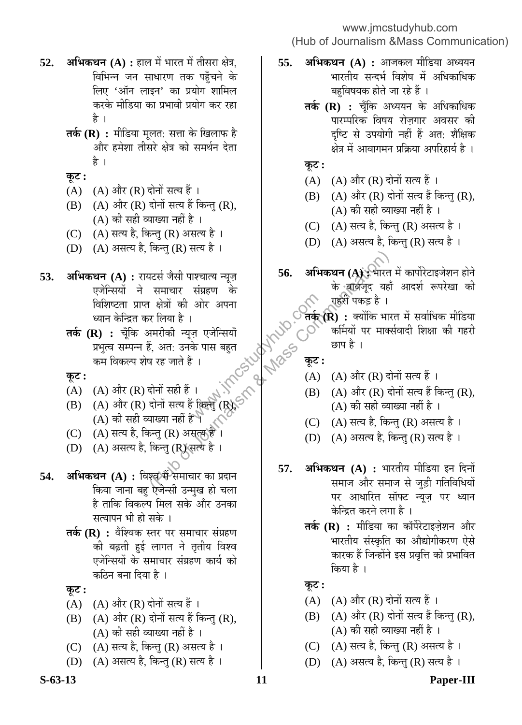- **52. अभिकथन (A) :** हाल में भारत में तीसरा क्षेत्र, विभिन्न जन साधारण तक पहुँचने के लिए 'ऑन लाइन' का प्रयोग शामिल करके मीडिया का प्रभावी प्रयोग कर रहा है ।
	- **तर्क (R) :** मीडिया मूलत: सत्ता के खिलाफ है और हमेशा तीसरे क्षेत्र को समर्थन देता है ।
	- $\Phi$ **ः**
	- $(A)$   $(A)$  और  $(R)$  दोनों सत्य हैं ।
	- $(B)$   $(A)$  और  $(R)$  दोनों सत्य हैं किन्तु  $(R)$ , (A) की सही व्याख्या नहीं है ।
	- (C) (A) सत्य है, किन्तु (R) असत्य है ।
	- (D)  $(A)$  असत्य है, किन्तु (R) सत्य है।
- **53. अभिकथन (A) :** रायटर्स जैसी पाश्चात्य न्यूज़ एजेन्सियों ने समाचार संग्रहण के विशिष्टता प्राप्त क्षेत्रों की ओर अपना<br>ध्यान केन्द्रित कर लिया है । ध्यान केन्द्रित कर लिया है ।  $\begin{array}{ll} \mathcal{A}\rightarrow\mathcal{G}\times\mathcal{A}\rightarrow\mathcal{A}\rightarrow\mathcal{A}\rightarrow\mathcal{A}\rightarrow\mathcal{A}\rightarrow\mathcal{A}\rightarrow\mathcal{A}\rightarrow\mathcal{A}\rightarrow\mathcal{A}\rightarrow\mathcal{A}\rightarrow\mathcal{A}\rightarrow\mathcal{A}\rightarrow\mathcal{A}\rightarrow\mathcal{A}\rightarrow\mathcal{A}\rightarrow\mathcal{A}\rightarrow\mathcal{A}\rightarrow\mathcal{A}\rightarrow\mathcal{A}\rightarrow\mathcal{A}\rightarrow\mathcal{A}\rightarrow\mathcal{A}\rightarrow\mathcal{A}\rightarrow\mathcal{A}\rightarrow\mathcal{A}\rightarrow\mathcal{A}\rightarrow\mathcal{A}\rightarrow\mathcal{A}\rightarrow\math$ 
	- **तर्क (R) :** चूँकि अमरीकी न्यूज़ एजेन्सियाँ प्रभुत्व सम्पन्न हैं, अत: उनके पास बहुत कम विकल्प शेष रह जाते हैं । which will define the state of the state of the state of the state of the state of the state of the state of the state of the state of the state of the state of the state of the state of the state of the state of the stat

**Ûæú™ü :** 

- (A) )(A) और (R) दोनों सही हैं ।
- (B) (A) और (R) दोनों सत्य हैं किन्तु (R),  $\left( \mathrm{A}\right)$  की सही व्याख्या नहीं है ।
- (C) ) (A) सत्य है, किन्तु (R) असत्य हैं ।
- (D) (A) असत्य है, किन्तु (R) सत्य है ।
- **54. अभिकथन (A) :** विश्वर्ें समाचार का प्रदान किया जाना बह ऐजेन्सी उन्मुख हो चला है ताकि विकल्प मिल सके और उनका सत्यापन भी हो सके ।
	- **तर्क (R) :** वैश्विक स्तर पर समाचार संग्रहण की बढ़ती हुई लागत ने तृतीय विश्व एजेन्सियों के समाचार संग्रहण कार्य को कठिन बना दिया है ।

**Ûæú™ü :** 

- $(A)$   $(A)$  और  $(R)$  दोनों सत्य हैं ।
- $(B)$   $(A)$  और  $(R)$  दोनों सत्य हैं किन्तु  $(R)$ , (A) की सही व्याख्या नहीं है ।
- (C) (A) सत्य है, किन्तु (R) असत्य है ।
- (D)  $(A)$  असत्य है, किन्तु (R) सत्य है ।
- **55. अभिकथन (A) :** आजकल मीडिया अध्ययन भारतीय सन्दर्भ विशेष में अधिकाधिक बहविषयक होते जा रहे हैं ।
	- **तर्क (R) :** चूँकि अध्ययन के अधिकाधिक पारम्परिक विषय रोजगार अवसर की दृष्टि से उपयोगी नहीं हैं अत: शैक्षिक क्षेत्र में आवागमन प्रक्रिया अपरिहार्य है ।
	- $\overline{\phi}$ **:**
	- (A)  $(A)$  और (R) दोनों सत्य हैं ।
	- $(B)$   $(A)$  और  $(R)$  दोनों सत्य हैं किन्तु  $(R)$ , (A) की सही व्याख्या नहीं है ।
	- (C) (A) सत्य है, किन्तु (R) असत्य है ।
	- (D) (A) असत्य है, किन्तु (R) सत्य है।
	- 56. अभिकथन (A) : भोरत में कार्पोरेटाइजेशन होने के बार्बजूद यहाँ आदर्श रूपरेखा की <u>गहरी पकड़ है</u> ।

 $\widehat{\mathrm{rdef}}(\mathbf{R})$  : क्योंकि भारत में सर्वाधिक मीडिया कर्मियों पर मार्क्सवादी शिक्षा की गहरी छाप है ।

**Ûæú™ü :** 

- (A)  $(A)$  और (R) दोनों सत्य हैं ।
- $(B)$   $(A)$  और  $(R)$  दोनों सत्य हैं किन्तु  $(R)$ ,  $(A)$  की सही व्याख्या नहीं है ।
- (C) (A) सत्य है, किन्तु (R) असत्य है।
- (D)  $(A)$  असत्य है, किन्तु (R) सत्य है ।
- **57. अभिकथन (A) :** भारतीय मीडिया इन दिनों समाज और समाज से जुड़ी गतिविधियों पर आधारित सॉफ्ट न्यूज़ पर ध्यान केन्द्रित करने लगा है ।
	- **तर्क (R) :** मीडिया का कॉर्पेरेटाइज़ेशन और भारतीय संस्कृति का औद्योगीकरण ऐसे कारक हैं जिन्होंने इस प्रवृत्ति को प्रभावित किया है ।

# **Ûæú™ü :**

- (A)  $(A)$  और (R) दोनों सत्य हैं।
- $(B)$   $(A)$  और  $(R)$  दोनों सत्य हैं किन्तु  $(R)$ , (A) की सही व्याख्या नहीं है ।
- (C) (A) सत्य है, किन्तु (R) असत्य है ।
- (D) (A) असत्य है, किन्तु (R) सत्य है।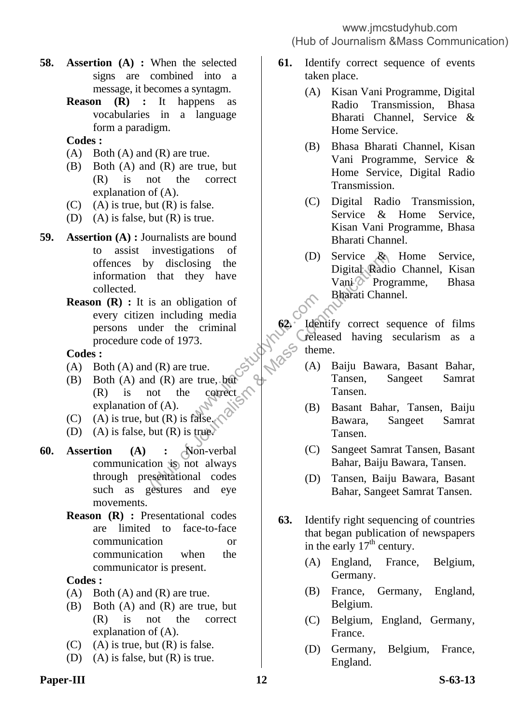- (Hub of Journalism &Mass Communication)
- **58. Assertion (A) :** When the selected signs are combined into a message, it becomes a syntagm.
	- **Reason (R) :** It happens as vocabularies in a language form a paradigm.

# **Codes :**

- $(A)$  Both  $(A)$  and  $(R)$  are true.
- (B) Both (A) and (R) are true, but (R) is not the correct explanation of (A).
- (C) (A) is true, but  $(R)$  is false.
- (D) (A) is false, but (R) is true.
- **59. Assertion (A) :** Journalists are bound to assist investigations of offences by disclosing the information that they have collected.
	- **Reason (R) :** It is an obligation of every citizen including media persons under the criminal procedure code of 1973. Exercise the contract of the contract  $\begin{pmatrix} 62 \\ 101 \\ 13 \end{pmatrix}$ . The contract of the contract  $\begin{pmatrix} 62 \\ 101 \\ 101 \end{pmatrix}$  (A) Free Mass Communications of (A) Service A Digital Radio<br>
	is an obligation of<br>
	is an obligation of<br>
	is an obligation of<br>
	is an obligation of<br>
	In including media<br>
	der the criminal<br>
	de of 1973.<br>
	(A) And (R) are true, but<br>
	(A)

### **Codes :**

- (A) Both (A) and (R) are true.
- (B) Both (A) and (R) are true, but (R) is not the correct explanation of (A).
- (C) (A) is true, but  $(R)$  is false.
- (D) (A) is false, but  $(R)$  is true.
- **60. Assertion (A) :** Non-verbal communication is not always through presentational codes such as gestures and eye movements.
	- **Reason (R) :** Presentational codes are limited to face-to-face communication or communication when the communicator is present.

# **Codes :**

- $(A)$  Both  $(A)$  and  $(R)$  are true.
- (B) Both (A) and (R) are true, but (R) is not the correct explanation of (A).
- $(C)$  (A) is true, but  $(R)$  is false.
- (D) (A) is false, but (R) is true.
- **61.** Identify correct sequence of events taken place.
	- (A) Kisan Vani Programme, Digital Radio Transmission, Bhasa Bharati Channel, Service & Home Service.
	- (B) Bhasa Bharati Channel, Kisan Vani Programme, Service & Home Service, Digital Radio Transmission.
	- (C) Digital Radio Transmission, Service & Home Service, Kisan Vani Programme, Bhasa Bharati Channel.
	- (D) Service & Home Service, Digital Radio Channel, Kisan Vani Programme, Bhasa Bharati Channel.

**62.** Identify correct sequence of films released having secularism as a theme.

- (A) Baiju Bawara, Basant Bahar, Tansen, Sangeet Samrat Tansen.
- (B) Basant Bahar, Tansen, Baiju Bawara, Sangeet Samrat Tansen.
- (C) Sangeet Samrat Tansen, Basant Bahar, Baiju Bawara, Tansen.
- (D) Tansen, Baiju Bawara, Basant Bahar, Sangeet Samrat Tansen.
- **63.** Identify right sequencing of countries that began publication of newspapers in the early  $17<sup>th</sup>$  century.
	- (A) England, France, Belgium, Germany.
	- (B) France, Germany, England, Belgium.
	- (C) Belgium, England, Germany, France.
	- (D) Germany, Belgium, France, England.

# Paper-III S-63-13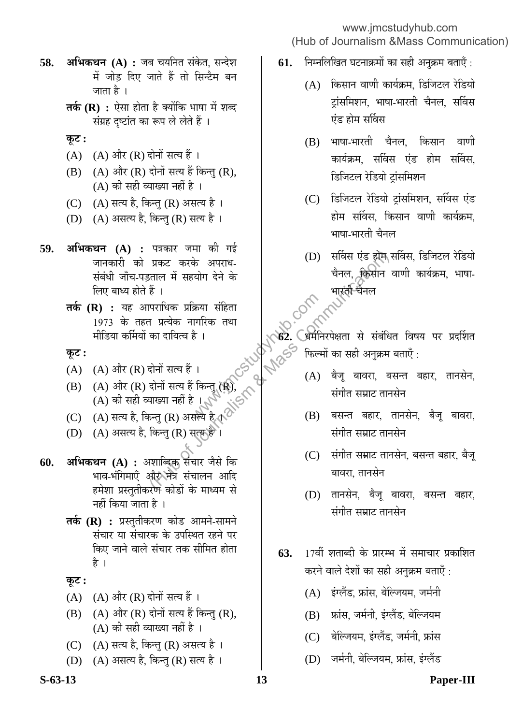- www.jmcstudyhub.com (Hub of Journalism &Mass Communication)
- **58. अभिकथन (A) :** जब चयनित संकेत, सन्देश में जोड दिए जाते हैं तो सिन्टैम बन जाता है ।
	- **तर्क (R) :** ऐसा होता है क्योंकि भाषा में शब्द संग्रह दृष्टांत का रूप ले लेते हैं ।
	- $\Phi$ **:**
	- (A)  $(A)$  और (R) दोनों सत्य हैं।
	- $(B)$   $(A)$  और  $(R)$  दोनों सत्य हैं किन्तु  $(R)$ , (A) की सही व्याख्या नहीं है ।
	- (C)  $(A)$  सत्य है, किन्तु (R) असत्य है।
	- (D)  $(A)$  असत्य है, किन्तु (R) सत्य है।
- **59. अभिकथन (A) :** पत्रकार जमा की गई जानकारी को प्रकट करके अपराध-संबंधी जाँच-पड़ताल में सहयोग देने के लिए बाध्य होते हैं । अकट करके अपराध गई।<br>प्रकट करके अपराध होना की पहली होना हो करने अपराध होना है।<br>हैं । पराधिक प्रक्रिया संहिता । अपराध के सारंती चैनल किसीन<br>ने प्रारंभिक नागरिक तथा<br>का दायित्व है । (A) (अर्थानरपेक्षता से संबंधि<br>दोनों सत्य हैं
	- **तर्क (R) :** यह आपराधिक प्रक्रिया संहिता 1973 के तहत प्रत्येक नागरिक तथा मीडिया कर्मियों का दायित्व है । क्रेया संहिता $\frac{1}{6}$ ।<br>|गरिक तथा<br>है ।<br>|-<br>|कन्तु (R), (C) (N) (A)<br>|सल्य है गुरु (S) (B)

# $\overline{\Phi}$ :

- (A)  $(A)$  और (R) दोनों सत्य हैं ।
- $(B)$   $(A)$  और  $(R)$  दोनों सत्य हैं किन्तु  $(R)$ , (A) की सही व्याख्या नहीं है ।
- (C)  $(A)$  सत्य है, किन्तु (R) असत्य है  $\mathbb{C}^{\mathbb{C}}$
- (D) (A) असत्य है, किन्तु (R) सत्य है<sup>ं</sup>।
- **60. अभिकथन (A) :** अशाब्दिक संचार जैसे कि भाव-भंगिमाएँ और नेत्र संचालन आदि हमेशा प्रस्तुतीकरण कोडों के माध्यम से नहीं किया जाता है ।
	- **तर्क (R) :** प्रस्तुतीकरण कोड आमने-सामने संचार या संचारक के उपस्थित रहने पर किए जाने वाले संचार तक सीमित होता है ।
	- **Ûæú™ü :**
	- (A)  $(A)$  और (R) दोनों सत्य हैं।
	- $(B)$   $(A)$  और  $(R)$  दोनों सत्य हैं किन्तु  $(R)$ ,  $(A)$  की सही व्याख्या नहीं है ।
	- (C) (A) सत्य है, किन्तु (R) असत्य है ।
	- (D)  $(A)$  असत्य है, किन्तु (R) सत्य है ।
- **61.** निम्नलिखित घटनाक्रमों का सही अनुक्रम बताएँ :
	- $(A)$  किसान वाणी कार्यक्रम, डिजिटल रेडियो ट्रांसमिशन, भाषा-भारती चैनल, सर्विस एंड होम सर्विस
	- (B) भाषा-भारती चैनल, किसान वाणी कार्यक्रम. सर्विस एंड होम सर्विस. डिजिटल रेडियो ट्रांसमिशन
	- (C) डिजिटल रेडियो ट्रांसमिशन, सर्विस एंड होम सर्विस, किसान वाणी कार्यक्रम, भाषा-भारती चैनल
	- (D) सर्विस एंड होम सर्विस, डिजिटल रेडियो चैनल, किसान वाणी कार्यक्रम, भाषा-भारती चैनल

|<br>| **62. अ**मेनिरपेक्षता से संबंधित विषय पर प्रदर्शित<br>| 6<sup>65</sup> फिल्मों का सही अनुकू<del>ष नहीं</del> फिल्मों का सही अनुक्रम बताएँ :

- (A) बैज् बावरा, बसन्त बहार, तानसेन, संगीत सम्राट तानसेन
- (B) बसन्त बहार, तानसेन, बैज बावरा, संगीत सम्राट तानसेन
- (C) संगीत सम्राट तानसेन, बसन्त बहार, बैज् बावरा. तानसेन
- (D) तानसेन, बैजू बावरा, बसन्त बहार, संगीत सम्राट तानसेन
- **63.** 17वीं शताब्दी के प्रारम्भ में समाचार प्रकाशित करने वाले देशों का सही अनक्रम बताएँ :
	- (A) इंग्लैंड, फ्रांस, बेल्जियम, जर्मनी
	- (B) फ्रांस, जर्मनी, इंग्लैंड, बेल्जियम
	- (C) बेल्जियम, इंग्लैंड, जर्मनी, फ्रांस
	- (D) जर्मनी, बेल्जियम, फ्रांस, इंग्लैंड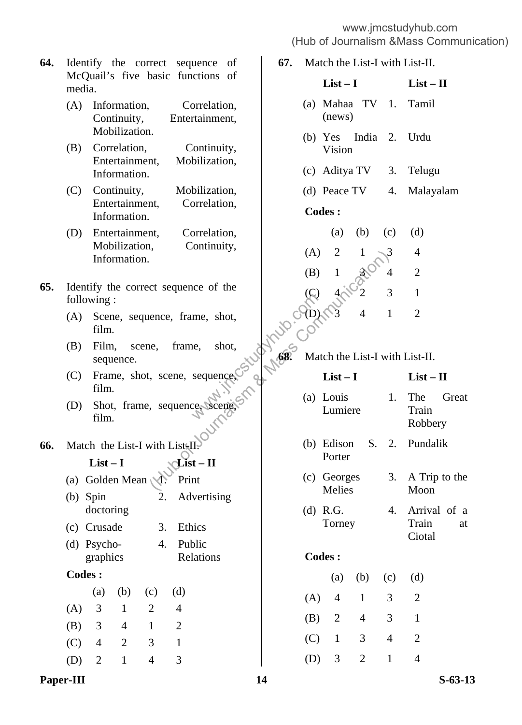- **64.** Identify the correct sequence of McQuail's five basic functions of media.
	- (A) Information, Correlation, Continuity, Entertainment, Mobilization.
	- (B) Correlation, Continuity, Entertainment, Mobilization, Information.
	- (C) Continuity, Mobilization, Entertainment, Correlation, Information.
	- (D) Entertainment, Correlation, Mobilization, Continuity, Information.
- **65.** Identify the correct sequence of the following :
- (A) Scene, sequence, frame, shot, film.
- (B) Film, scene, frame, shot, sequence.
- (C) Frame, shot, scene, sequence, film.
- (D) Shot, frame, sequence, scene, film.

# **66.** Match the List-I with List-II.

# $List-I$   $\mathcal{L}ist-II$

- (a) Golden Mean 1. Print
- (b) Spin doctoring 2. Advertising
- (c) Crusade 3. Ethics
- (d) Psychographics 4. Public Relations
- **Codes :**

|     | (a) |    | $(b)$ $(c)$  | (d) |
|-----|-----|----|--------------|-----|
| (A) | - 3 | H  | $\mathbf{2}$ | 4   |
| (B) | - 3 | 4  | 1            | 2   |
| (C) | 4   | 2  | 3            | 1   |
| (D) | -2  | -1 | 4            | 3   |

- **67.** Match the List-I with List-II.
- **List I List II**  (a) Mahaa TV (news) 1. Tamil (b) Yes India Vision 2. Urdu (c) Aditya TV 3. Telugu (d) Peace TV 4. Malayalam **Codes :** (a) (b) (c) (d)  $(A)$  2 1  $\sqrt{3}$  4 (B)  $1 \quad 3 \quad 4 \quad 2$ (C)  $4 \sqrt{2}$  3 1  $\bigcirc$ (D) 3 4 1 2 **68.** Match the List-I with List-II.

|                                                     | (A)           | $\overline{2}$        | 1              | 3              | 4                              |                    |
|-----------------------------------------------------|---------------|-----------------------|----------------|----------------|--------------------------------|--------------------|
|                                                     | (B)           | $\mathbf{1}$          | 8205           | $\overline{4}$ | $\overline{2}$                 |                    |
| ct sequence of the                                  |               |                       |                | 3              | $\mathbf{1}$                   |                    |
| ence, frame, shot,                                  |               |                       | $\overline{4}$ | $\mathbf{1}$   | $\overline{2}$                 |                    |
| frame, shot,<br>ie,                                 | Control Com   |                       |                |                | Match the List-I with List-II. |                    |
| $\mathbf{c}$ , scene, sequence,                     |               | $List-I$              |                |                | $List - II$                    |                    |
| sequence scene.                                     |               | (a) Louis<br>Lumiere  |                | 1.             | The<br>Train<br>Robbery        | Great              |
| vith List <sup>[I]</sup><br>$List - II$             |               | (b) Edison<br>Porter  | S.             | 2.             | Pundalik                       |                    |
| Print<br>Advertising                                |               | (c) Georges<br>Melies |                | 3.             | Moon                           | A Trip to the      |
| 3.<br>Ethics<br>Public<br>4.                        | $(d)$ R.G.    | Torney                |                | 4.             | Train<br>Ciotal                | Arrival of a<br>at |
| Relations                                           | <b>Codes:</b> |                       |                |                |                                |                    |
|                                                     |               | (a)                   | (b)            | (c)            | (d)                            |                    |
| (d)<br>c)                                           | (A)           | $\overline{4}$        | $\mathbf{1}$   | 3              | $\overline{2}$                 |                    |
| $\overline{c}$<br>$\overline{4}$                    | (B)           | $\overline{2}$        | $\overline{4}$ | 3 <sup>7</sup> | $\mathbf{1}$                   |                    |
| $\overline{2}$<br>$\mathbf{1}$<br>3<br>$\mathbf{1}$ | (C)           | $\mathbf{1}$          | 3              | $\overline{4}$ | $\overline{2}$                 |                    |
|                                                     |               |                       |                |                |                                |                    |

(D) 3 2 1 4

Paper-III S-63-13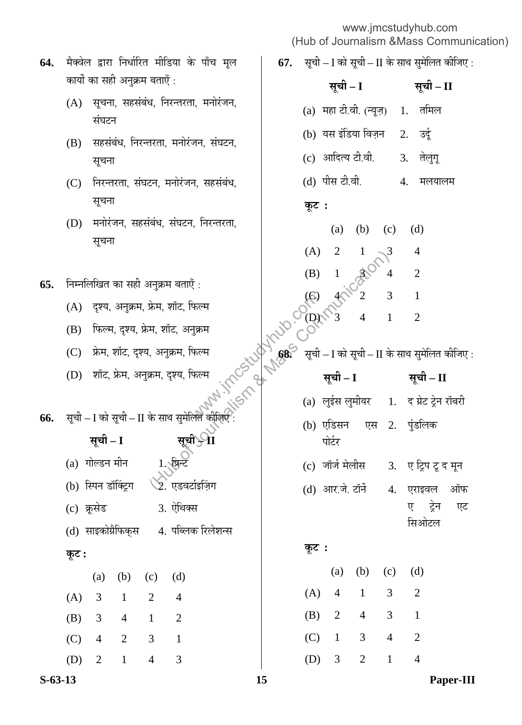**67.** सूची – I को सूची – II के साथ सुमेलित कीजिए :

कार्यों का सही अनुक्रम बताएँ :  $(A)$  सृचना, सहसंबंध, निरन्तरता, मनोरंजन, संघटन (B) सहसंबंध, निरन्तरता, मनोरंजन, संघटन, सूचना (C) निरन्तरता, संघटन, मनोरंजन, सहसंबंध, सुचना (D) मनोरंजन, सहसंबंध, संघटन, निरन्तरता, सूचना **65.** निम्नलिखित का सही अनुक्रम बताएँ : (A) दृश्य, अनुक्रम, फ्रेम, शॉट, फिल्म (B) फिल्म, दृश्य, फ्रेम, शॉट, अनुक्रम (C) फ्रेम, शॉट, दृश्य, अनुक्रम, फिल्म (D) शॉट, फ्रेम, अनुक्रम, दृश्य, फिल्म **66.** सूची – I को सूची – II के साथ सुमेलित कीजिए **ÃÖæ"Öß – I ÃÖæ"Öß – II**  (a) गोल्डन मीन 1. फ्रिन्ट (b) स्पिन डॉक्ट्रिंग ∑े. एडवर्टाइज़िंग (c) ÛÎæúÃÖê›ü 3. ‹ê×£ÖŒÃÖ (d) साइकोग्रैफिकुस 4. पब्लिक रिलेशन्स  $\overline{\phi}$ **:** (a) (b) (c) (d) (A) 3 1 2 4 (B) 3 4 1 2 (C) 4 2 3 1 **ÃÖæ"Öß – I ÃÖæ"Öß – II**  (a) महा टी.वी. (न्यूज़) 1. तमिल (b) यस इंडिया विज़न 2. उर्द (c) आदित्य टी.वी. 3. तेलुगू (d) पीस टी.वी. 4. मलयालम  $\Phi$ **:** (a) (b) (c) (d)  $(A)$  2 1  $\sqrt{3}$  4 (B)  $1 \& 4 \& 2$ (C)  $4\sqrt{2}$  3 1  $(O)$  3 4 1 2 सूची – I को सूची – II के साथ सुमेलित कीजिए : **ÃÖæ"Öß – I ÃÖæ"Öß – II**  (a) लुईस लुमीयर 1. द ग्रेट ट्रेन रॉबरी (b) एडिसन एस पोर्टर 2. पंडलिक (c) जॉर्ज मेलीस 3. ए ट्रिप टू द मून (d) आर.जे. टॉर्न 4. एराइवल ऑफ ए ट्रेन एट सिओटल  $\Phi$ **:** (a) (b) (c) (d) (A) 4 1 3 2 (B) 2 4 3 1 (C) 1 3 4 2 फेल्म<br>मुक्रम<br>फेल्म<br>फेल्म अपूर्ण देखा के सूची<br>फेल्म अपूर्ण देखा है कि सूची कालेगा के सूची कालेगा की पासी कालेगा की सूची कालेगा की सुरक्षित कालेगा की सुरक्ष<br>लेने कोनिए से सुरक्षित कालेगा की सूची कालेगा कालेगा कालेगा की पास मनुक्रम बताएँ :<br>फ्रेम, शॉट, फिल्म<br>म, शॉट, फिल्म<br>म, शॉट, अनुक्रम, फिल्म<br>ज्ञम, दृश्य, फिल्म<br>क्रम, दृश्य, फिल्म<br>कम, दृश्य, फिल्म<br>के साथ सुमेलित कीलिए :<br>के साथ सुमेलित कीलिए :<br>सूची- $\mathbf{u}$  (a) लुईस लुमीयर<br>सूची- $\mathbf{u}$  (b)

64. मैक्वेल द्वारा निर्धारित मीडिया के पाँच मूल

(D) 2 1 4 3

**S-63-13 15 Paper-III**

(D) 3 2 1 4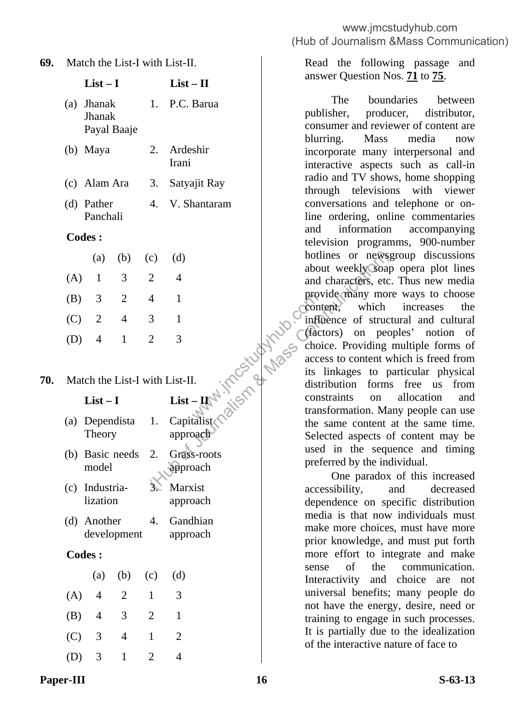**69.** Match the List-I with List-II.

| (a) Jhanak  | 1. P.C. Barua |
|-------------|---------------|
| Jhanak      |               |
| Payal Baaje |               |

**List – I List – II** 

| (b) Maya | 2. Ardeshir  |
|----------|--------------|
|          | <b>Irani</b> |

- (c) Alam Ara 3. Satyajit Ray
- (d) Pather Panchali 4. V. Shantaram

### **Codes :**

|         |   |                | (a) (b) (c) (d) |   |
|---------|---|----------------|-----------------|---|
| (A) 1   |   | 3              | 2               | 4 |
| $(B)$ 3 |   | $\overline{2}$ | 4               |   |
| $(C)$ 2 |   | 4              | 3               |   |
| (D)     | 4 | 1              | 2               | 3 |

# **70.** Match the List-I with List-II.

# **List – I List – II**

- (a) Dependista Theory
- 1. Capitalist approach
- (b) Basic needs model 2. Grass-roots approach
- (c) Industrialization **Marxist** approach
- (d) Another development 4. Gandhian approach

# **Codes :**

|       |                           |    | (a) (b) (c) (d) |   |
|-------|---------------------------|----|-----------------|---|
| (A)   | 4                         | 2  | 1               | 3 |
| (B)   | $\overline{4}$            | 3  | 2               |   |
| (C) 3 |                           | 4  |                 | 2 |
| (D)   | $\overline{\phantom{a}3}$ | T. | $\mathcal{L}$   |   |

 Read the following passage and answer Question Nos. **71** to **75**.

 The boundaries between publisher, producer, distributor, consumer and reviewer of content are blurring. Mass media now incorporate many interpersonal and interactive aspects such as call-in radio and TV shows, home shopping through televisions with viewer conversations and telephone or online ordering, online commentaries and information accompanying television programms, 900-number hotlines or newsgroup discussions about weekly soap opera plot lines and characters, etc. Thus new media provide many more ways to choose content, which increases the influence of structural and cultural (factors) on peoples' notion of choice. Providing multiple forms of access to content which is freed from its linkages to particular physical distribution forms free us from constraints on allocation and transformation. Many people can use the same content at the same time. Selected aspects of content may be used in the sequence and timing preferred by the individual. Prove Committee<br>
Letter Committee Committee<br>
Letter Committee Committee Committee<br>
Letter Committee Committee Committee Committee Committee Committee Committee Committee Committee Committee Committee<br>
Letter Committee Comm (d)  $\begin{bmatrix}\n\text{hotlines or new} \\
\text{about weekly Soap}\n\text{about weekly Soap}\n\text{about weekly Soap}\n\text{about weekly Soap}\n\end{bmatrix}\n\begin{bmatrix}\n\text{about weekly Soap}\n\text{about weekly Soap}\n\text{about weekly Soap}\n\text{about weekly Soap}\n\text{about weekly Soap}\n\text{about weekly Soap}\n\text{about weekly Soap}\n\text{about weekly Soap}\n\text{about weekly Soap}\n\text{about weekly Soap}\n\text{about weekly Soap}\n\text{about weekly Soap}\n\text{about weekly Soap}\n\text{about weekly Soap}\n\text{about weekly Soap}\n\text{about weekly Soap}\n\text{about weekly So$ 

 One paradox of this increased accessibility, and decreased dependence on specific distribution media is that now individuals must make more choices, must have more prior knowledge, and must put forth more effort to integrate and make sense of the communication. Interactivity and choice are not universal benefits; many people do not have the energy, desire, need or training to engage in such processes. It is partially due to the idealization of the interactive nature of face to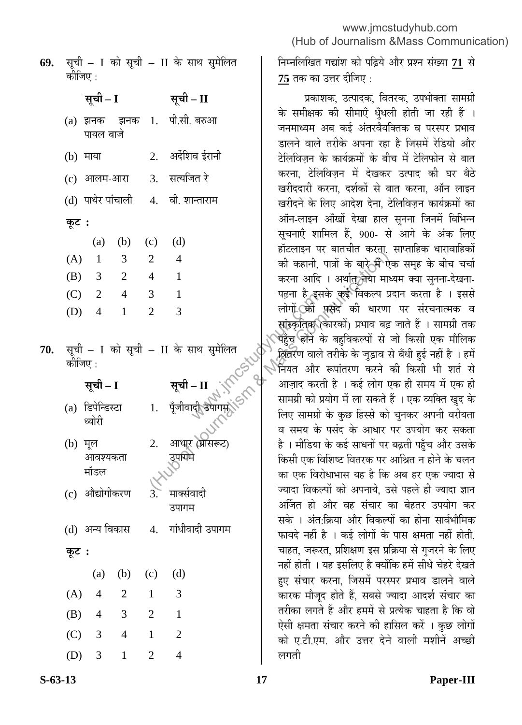| 69. सूची – I को सूची – II के साथ सुमेलित |  |  |  |  |
|------------------------------------------|--|--|--|--|
| कोजिए :                                  |  |  |  |  |

**ÃÖæ"Öß – I ÃÖæ"Öß – II** 

(a) झनक झनक पायल बाजे 1. पी.सी. बरुआ

| (b) माया | 2. अर्देशिव ईरानी |
|----------|-------------------|
|          |                   |

- (c) आलम-आरा 3. सत्यजित रे
- (d) पाथेर पांचाली 4. वी. शान्ताराम
- **Ûæú™ü :**

|     |                         |                | (a) (b) (c) (d)       |   |
|-----|-------------------------|----------------|-----------------------|---|
| (A) | -1                      | 3              | 2                     | 4 |
| (B) | $\overline{\mathbf{3}}$ | $\overline{2}$ | 4                     |   |
| (C) | - 2                     | 4              | 3                     |   |
| (D) | 4                       | J.             | $\mathcal{D}_{\cdot}$ | 3 |

70. सूची – I को सूची – II के साथ सुमेलित कीजिए  $\cdot$ 

1. पूँजीवाद<del>ी उ</del>पागम

<u>उ</u>पाक्मे

उपागम

# <u>सूची – I</u>

- (a) डिपेन्डिस्टा थ्योरी
- (b) मूल आवश्यकता मॉडल 2. आधार (ग्रासरूट)
- (c) औद्योगीकरण 3. े मार्क्सवादी
- (d) अन्य विकास 4. गांधीवादी उपागम
- **Ûæú™ü :**

|       |                |   | (a) (b) (c) (d)       |   |
|-------|----------------|---|-----------------------|---|
| (A)   | 4              | 2 | $\vert$               | 3 |
| (B)   | $\overline{4}$ | 3 | 2                     | 1 |
| (C) 3 |                | 4 | 1                     | 2 |
| (D)   | 3              |   | $\mathcal{D}_{\cdot}$ |   |

निम्नलिखित गद्यांश को पढ़िये और प्रश्न संख्या 71 से <u>75</u> तक का उत्तर दीजिए :

प्रकाशक, उत्पादक, वितरक, उपभोक्ता सामग्री के समीक्षक की सीमाएँ धृँधली होती जा रही हैं । जनमाध्यम अब कई अंतरवैयक्तिक व परस्पर प्रभाव डालने वाले तरीके अपना रहा है जिसमें रेडियो और टेलिविज़न के कार्यक्रमों के बीच में टेलिफोन से बात करना. टेलिविज़न में देखकर उत्पाद की घर बैठे खरीददारी करना. दर्शकों से बात करना. ऑन लाइन खरीदने के लिए आदेश देना, टेलिविज़न कार्यक्रमों का ऑन-लाइन आँखों देखा हाल सुनना जिनमें विभिन्न सूचनाएँ शामिल हैं, 900- से आगे के अंक लिए हॉटलाइन पर बातचीत करन्।, साप्ताहिक धारावाहिकों की कहानी, पात्रों के बारे-में ऐक समूह के बीच चर्चा करना आदि । अर्थात्र नया माध्यम क्या सुनना-देखना-पढ़ना है इसके कई विकल्प प्रदान करता है । इससे लोगों की पसंद की धारणा पर संरचनात्मक व सांस्कृतिक (कारकों) प्रभाव बढ़ जाते हैं । सामग्री तक पहुँच होने के बहविकल्पों से जो किसी एक मौलिक खितरण वाले तरीके के जुड़ाव से बँधी हुई नहीं है । हमें ैनियत और रूपांतरण करने की किसी भी शर्त से आज़ाद करती है । कई लोग एक ही समय में एक ही सामग्री को प्रयोग में ला सकते हैं । एक व्यक्ति खुद के लिए सामग्री के कुछ हिस्से को चुनकर अपनी वरीयता व समय के पसंद के आधार पर उपयोग कर सकता है। मीडिया के कई साधनों पर बढ़ती पहुँच और उसके किसी एक विशिष्ट वितरक पर आश्रित न होने के चलन का एक विरोधाभास यह है कि अब हर एक ज्यादा से ज्यादा विकल्पों को अपनाये. उसे पहले ही ज्यादा ज्ञान अर्जित हो और वह संचार का बेहतर उपयोग कर सके । अंत क्रिया और विकल्पों का होना सार्वभौमिक फायदे नहीं है । कई लोगों के पास क्षमता नहीं होती, चाहत, जरूरत, प्रशिक्षण इस प्रक्रिया से गुजरने के लिए नहीं होती । यह इसलिए है क्योंकि हमें सीधे चेहरे देखते हए संचार करना, जिसमें परस्पर प्रभाव डालने वाले कारक मौजूद होते हैं, सबसे ज्यादा आदर्श संचार का तरीका लगते हैं और हममें से प्रत्येक चाहता है कि वो ऐसी क्षमता संचार करने की हासिल करें । कुछ लोगों को ए.टी.एम. और उत्तर देने वाली मशीनें अच्छी लगती पढ़ना ह इस<br>लोगों की<br>गथ सुमेलित<br>गथ सुमेलित दुर्घ पहुँच होने वे<br>- II संस्कृतिक रिनियत और<br>- पुरुषोगमूर्हो हो सामग्री को प्र<br>दी उपागमूर्हो हो सामग्री को प्र (A)  $\frac{1}{4}$  and  $\frac{1}{4}$  and  $\frac{1}{4}$  and  $\frac{1}{4}$  and  $\frac{1}{4}$  and  $\frac{1}{4}$  and  $\frac{1}{4}$  and  $\frac{1}{4}$  and  $\frac{1}{4}$  and  $\frac{1}{4}$  and  $\frac{1}{4}$  and  $\frac{1}{4}$  and  $\frac{1}{4}$  and  $\frac{1}{4}$  and  $\frac{1}{4}$  and  $\frac{1}{4$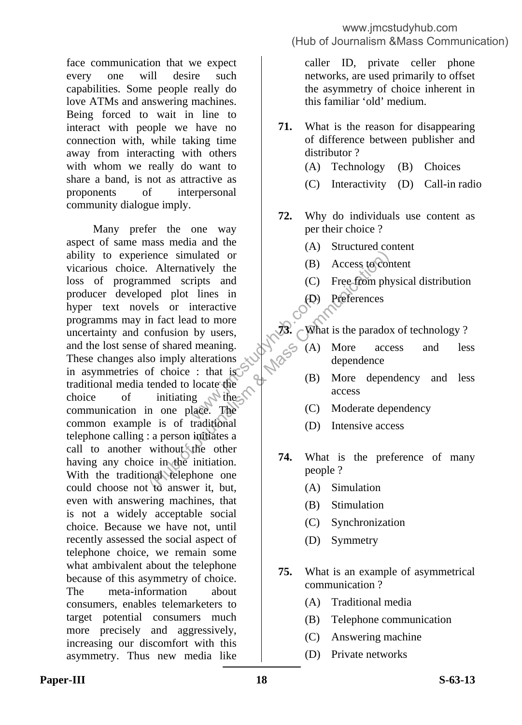face communication that we expect every one will desire such capabilities. Some people really do love ATMs and answering machines. Being forced to wait in line to interact with people we have no connection with, while taking time away from interacting with others with whom we really do want to share a band, is not as attractive as proponents of interpersonal community dialogue imply.

 Many prefer the one way aspect of same mass media and the ability to experience simulated or vicarious choice. Alternatively the loss of programmed scripts and producer developed plot lines in hyper text novels or interactive programms may in fact lead to more uncertainty and confusion by users, and the lost sense of shared meaning. These changes also imply alterations in asymmetries of choice : that is traditional media tended to locate the choice of initiating  $\mathcal{N}$  these communication in one place. The common example is of traditional telephone calling : a person initiates a call to another without the other having any choice in the initiation. With the traditional telephone one could choose not to answer it, but, even with answering machines, that is not a widely acceptable social choice. Because we have not, until recently assessed the social aspect of telephone choice, we remain some what ambivalent about the telephone because of this asymmetry of choice. The meta-information about consumers, enables telemarketers to target potential consumers much more precisely and aggressively, increasing our discomfort with this asymmetry. Thus new media like meractive<br>
d to more<br>
by users,<br>
meaning.<br>
alterations<br>  $\therefore$  that is<br>
locate the<br>
g<br>
g<br>
die The<br>
(C) ence simulated or<br>
Alternatively the<br>
med scripts and<br>
ed plot lines in<br>
les or interactive<br>
in fact lead to more<br>
onfusion by users,<br>
of shared meaning.<br>
(C) Preferences<br>
of shared meaning.<br>
(C) More access<br>
of choice : t

caller ID, private celler phone networks, are used primarily to offset the asymmetry of choice inherent in this familiar 'old' medium.

- **71.** What is the reason for disappearing of difference between publisher and distributor ?
	- (A) Technology (B) Choices
	- (C) Interactivity (D) Call-in radio
- **72.** Why do individuals use content as per their choice ?
	- (A) Structured content
	- (B) Access to content
	- (C) Free from physical distribution
	- (D) Preferences

**73.** What is the paradox of technology ?

- (A) More access and less dependence
- (B) More dependency and less access
- (C) Moderate dependency
- (D) Intensive access
- **74.** What is the preference of many people ?
	- (A) Simulation
	- (B) Stimulation
	- (C) Synchronization
	- (D) Symmetry
- **75.** What is an example of asymmetrical communication ?
	- (A) Traditional media
	- (B) Telephone communication
	- (C) Answering machine
	- (D) Private networks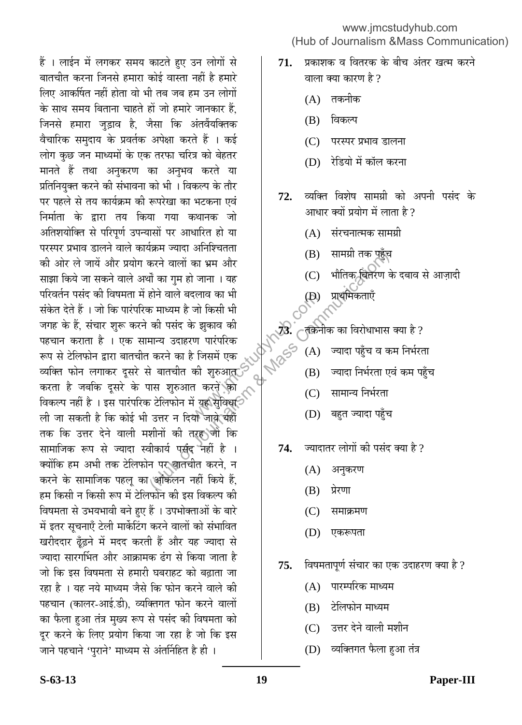हैं । लाईन में लगकर समय काटते हुए उन लोगों से बातचीत करना जिनसे हमारा कोई वास्ता नहीं है हमारे लिए आकर्षित नहीं होता वो भी तब जब हम उन लोगों के साथ समय बिताना चाहते हों जो हमारे जानकार हैं. जिनसे हमारा जड़ाव है. जैसा कि अंतर्वेयक्तिक वैचारिक समुदाय के प्रवर्तक अपेक्षा करते हैं । कई लोग कुछ जन माध्यमों के एक तरफा चरित्र को बेहतर मानते हैं तथा अनुकरण का अनुभव करते या प्रतिनियुक्त करने की संभावना को भी । विकल्प के तौर पर पहले से तय कार्यक्रम की रूपरेखा का भटकना एवं निर्माता के द्रारा तय किया गया कथानक जो अतिशयोक्ति से परिपूर्ण उपन्यासों पर आधारित हो या परस्पर प्रभाव डालने वाले कार्यक्रम ज्यादा अनिश्चितता की ओर ले जायें और प्रयोग करने वालों का भ्रम और साझा किये जा सकने वाले अर्थों का गुम हो जाना । यह परिवर्तन पसंद की विषमता में होने वाले बदलाव का भी संकेत देते हैं । जो कि पारंपरिक माध्यम है जो किसी भी जगह के हैं, संचार शुरू करने की पसंद के झकाव की पहचान कराता है । एक सामान्य उदाहरण पारंपरिक रूप से टेलिफोन द्वारा बातचीत करने का है जिसमें एक व्यक्ति फोन लगाकर दूसरे से बातचीत की शुरुआत् करता है जबकि दूसरे के पास शुरुआत करने को विकल्प नहीं है । इस पारंपरिक टेलिफोन में यह सेविध**ि** ली जा सकती है कि कोई भी उत्तर न दियो जाये थहीं तक कि उत्तर देने वाली मशीनों की तरह**े**जो कि सामाजिक रूप से ज्यादा स्वीकार्य पर्संद नहीं है । क्योंकि हम अभी तक टेलिफोन पर बातचीत करने, न करने के सामाजिक पहलू का आकलन नहीं किये हैं, हम किसी न किसी रूप में टेलिफोन की इस विकल्प की विषमता से उभयभावी बने हुए हैं । उपभोक्ताओं के बारे <u>में इतर सूचनाएँ टेली मार्केटिंग करने वालों को संभावित</u> खरीददार ढूँढ़ने में मदद करती हैं और यह ज्यादा से ज्यादा सारगर्भित और आक्रामक ढंग से किया जाता है जो कि इस विषमता से हमारी घबराहट को बढ़ाता जा रहा है । यह नये माध्यम जैसे कि फोन करने वाले की पहचान (कालर-आई.डी), व्यक्तिगत फोन करने वालों का फैला हुआ तंत्र मुख्य रूप से पसंद की विषमता को दूर करने के लिए प्रयोग किया जा रहा है जो कि इस जाने पहचाने 'पुराने' माध्यम से अंतर्निहित है ही । दलाव का भा $\vec{v}$ जो किसी भी $\vec{v}$  न झुकाव की<br>ण पारंपरिक<br>एण पारंपरिक<br>की शुरुआत की सुरुआत की शुरुआत की सुरुआत की सुरुआत की सुरुआत (A)<br>तो करने की (C)<br>यो जाये यहीं (D)  $\frac{1}{3}$   $\frac{1}{3}$   $\frac{1}{3}$   $\frac{1}{3}$   $\frac{1}{3}$   $\frac{1}{3}$   $\frac{1}{3}$   $\frac{1}{3}$   $\frac{1}{3}$   $\frac{1}{3}$   $\frac{1}{3}$   $\frac{1}{3}$   $\frac{1}{3}$   $\frac{1}{3}$   $\frac{1}{3}$   $\frac{1}{3}$   $\frac{1}{3}$   $\frac{1}{3}$   $\frac{1}{3}$   $\frac{1}{3}$   $\frac{1}{3}$   $\frac{1}{3}$ 

www.jmcstudyhub.com (Hub of Journalism &Mass Communication)

- **71.** ∑प्रकाशक व वितरक के बीच अंतर खत्म करने वाला क्या कारण है ?
	- (A) तकनीक
	- (B) विकल्प
	- (C) परस्पर प्रभाव डालना
	- (D) रेडियो में कॉल करना
- **72.** व्यक्ति विशेष सामग्री को अपनी पसंद के आधार क्यों प्रयोग में लाता है ?
	- $(A)$  संरचनात्मक सामग्री
	- (B) सामग्री तक पहुँच
	- (C) भौतिक चितरण के दबाव से आज़ादी
	- CON TRANSICO
- ।<br><sub>अ</sub><br>स्रोतिक का विरोधाभास क्या है ?
	- (A) ज्यादा पहुँच व कम निर्भरता
	- (B) ज्यादा निर्भरता एवं कम पहुँच
	- (C) सामान्य निर्भरता
	- (D) बहुत ज्यादा पहुँच
	- 74. ज्यादातर लोगों की पसंद क्या है ?
		- (A) अनुकरण
		- $(B)$  प्रेरणा
		- (C) समाक्रमण
		- (D) एकरूपता
	- **75.** विषमतापूर्ण संचार का एक उदाहरण क्या है ?
		- $(A)$  पारम्परिक माध्यम
		- (B) टेलिफोन माध्यम
		- (C) उत्तर देने वाली मशीन
		- (D) व्यक्तिगत फैला हुआ तंत्र